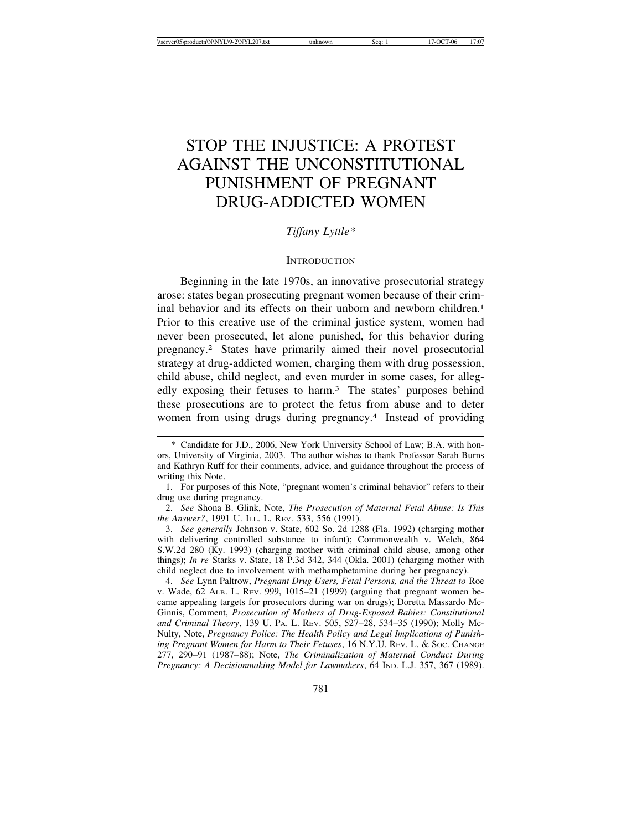# STOP THE INJUSTICE: A PROTEST AGAINST THE UNCONSTITUTIONAL PUNISHMENT OF PREGNANT DRUG-ADDICTED WOMEN

# *Tiffany Lyttle\**

#### **INTRODUCTION**

Beginning in the late 1970s, an innovative prosecutorial strategy arose: states began prosecuting pregnant women because of their criminal behavior and its effects on their unborn and newborn children.<sup>1</sup> Prior to this creative use of the criminal justice system, women had never been prosecuted, let alone punished, for this behavior during pregnancy.2 States have primarily aimed their novel prosecutorial strategy at drug-addicted women, charging them with drug possession, child abuse, child neglect, and even murder in some cases, for allegedly exposing their fetuses to harm.3 The states' purposes behind these prosecutions are to protect the fetus from abuse and to deter women from using drugs during pregnancy.4 Instead of providing

2. *See* Shona B. Glink, Note, *The Prosecution of Maternal Fetal Abuse: Is This the Answer?*, 1991 U. ILL. L. REV. 533, 556 (1991).

3. *See generally* Johnson v. State, 602 So. 2d 1288 (Fla. 1992) (charging mother with delivering controlled substance to infant); Commonwealth v. Welch, 864 S.W.2d 280 (Ky. 1993) (charging mother with criminal child abuse, among other things); *In re* Starks v. State, 18 P.3d 342, 344 (Okla. 2001) (charging mother with child neglect due to involvement with methamphetamine during her pregnancy).

4. *See* Lynn Paltrow, *Pregnant Drug Users, Fetal Persons, and the Threat to* Roe v. Wade, 62 ALB. L. REV. 999, 1015–21 (1999) (arguing that pregnant women became appealing targets for prosecutors during war on drugs); Doretta Massardo Mc-Ginnis, Comment, *Prosecution of Mothers of Drug-Exposed Babies: Constitutional and Criminal Theory*, 139 U. PA. L. REV. 505, 527–28, 534–35 (1990); Molly Mc-Nulty, Note, *Pregnancy Police: The Health Policy and Legal Implications of Punishing Pregnant Women for Harm to Their Fetuses*, 16 N.Y.U. REV. L. & SOC. CHANGE 277, 290–91 (1987–88); Note, *The Criminalization of Maternal Conduct During Pregnancy: A Decisionmaking Model for Lawmakers*, 64 IND. L.J. 357, 367 (1989).

<sup>\*</sup> Candidate for J.D., 2006, New York University School of Law; B.A. with honors, University of Virginia, 2003. The author wishes to thank Professor Sarah Burns and Kathryn Ruff for their comments, advice, and guidance throughout the process of writing this Note.

<sup>1.</sup> For purposes of this Note, "pregnant women's criminal behavior" refers to their drug use during pregnancy.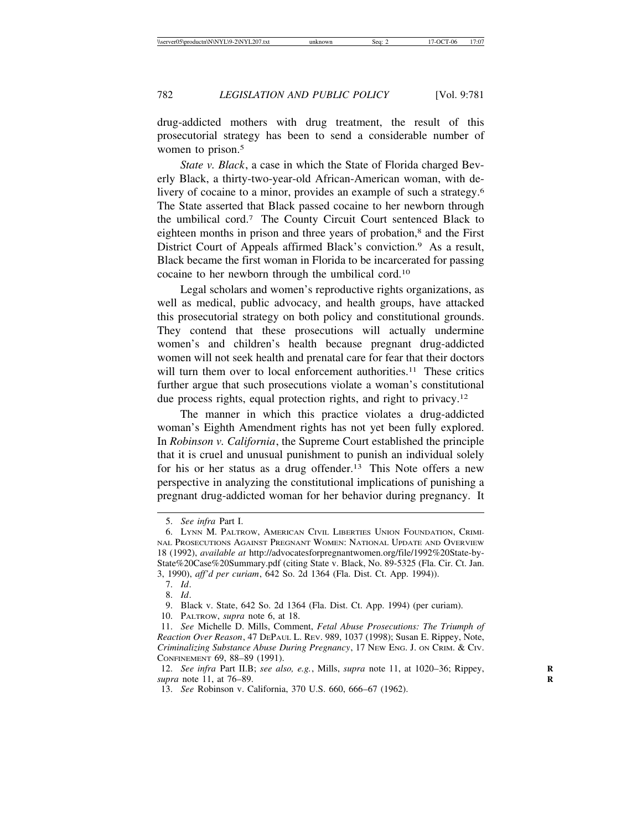drug-addicted mothers with drug treatment, the result of this prosecutorial strategy has been to send a considerable number of women to prison.<sup>5</sup>

*State v. Black*, a case in which the State of Florida charged Beverly Black, a thirty-two-year-old African-American woman, with delivery of cocaine to a minor, provides an example of such a strategy.6 The State asserted that Black passed cocaine to her newborn through the umbilical cord.7 The County Circuit Court sentenced Black to eighteen months in prison and three years of probation,<sup>8</sup> and the First District Court of Appeals affirmed Black's conviction.<sup>9</sup> As a result, Black became the first woman in Florida to be incarcerated for passing cocaine to her newborn through the umbilical cord.10

Legal scholars and women's reproductive rights organizations, as well as medical, public advocacy, and health groups, have attacked this prosecutorial strategy on both policy and constitutional grounds. They contend that these prosecutions will actually undermine women's and children's health because pregnant drug-addicted women will not seek health and prenatal care for fear that their doctors will turn them over to local enforcement authorities.<sup>11</sup> These critics further argue that such prosecutions violate a woman's constitutional due process rights, equal protection rights, and right to privacy.12

The manner in which this practice violates a drug-addicted woman's Eighth Amendment rights has not yet been fully explored. In *Robinson v. California*, the Supreme Court established the principle that it is cruel and unusual punishment to punish an individual solely for his or her status as a drug offender.<sup>13</sup> This Note offers a new perspective in analyzing the constitutional implications of punishing a pregnant drug-addicted woman for her behavior during pregnancy. It

<sup>5.</sup> *See infra* Part I.

<sup>6.</sup> LYNN M. PALTROW, AMERICAN CIVIL LIBERTIES UNION FOUNDATION, CRIMI-NAL PROSECUTIONS AGAINST PREGNANT WOMEN: NATIONAL UPDATE AND OVERVIEW 18 (1992), *available at* http://advocatesforpregnantwomen.org/file/1992%20State-by-State%20Case%20Summary.pdf (citing State v. Black, No. 89-5325 (Fla. Cir. Ct. Jan. 3, 1990), *aff'd per curiam*, 642 So. 2d 1364 (Fla. Dist. Ct. App. 1994)).

<sup>7.</sup> *Id*.

<sup>8.</sup> *Id*.

<sup>9.</sup> Black v. State, 642 So. 2d 1364 (Fla. Dist. Ct. App. 1994) (per curiam).

<sup>10.</sup> PALTROW, *supra* note 6, at 18.

<sup>11.</sup> *See* Michelle D. Mills, Comment, *Fetal Abuse Prosecutions: The Triumph of Reaction Over Reason*, 47 DEPAUL L. REV. 989, 1037 (1998); Susan E. Rippey, Note, *Criminalizing Substance Abuse During Pregnancy*, 17 NEW ENG. J. ON CRIM. & CIV. CONFINEMENT 69, 88–89 (1991).

<sup>12.</sup> *See infra Part II.B; see also, e.g., Mills, supra note 11, at 1020–36; Rippey, supra* note 11, at 76–89. **R**

<sup>13.</sup> *See* Robinson v. California, 370 U.S. 660, 666–67 (1962).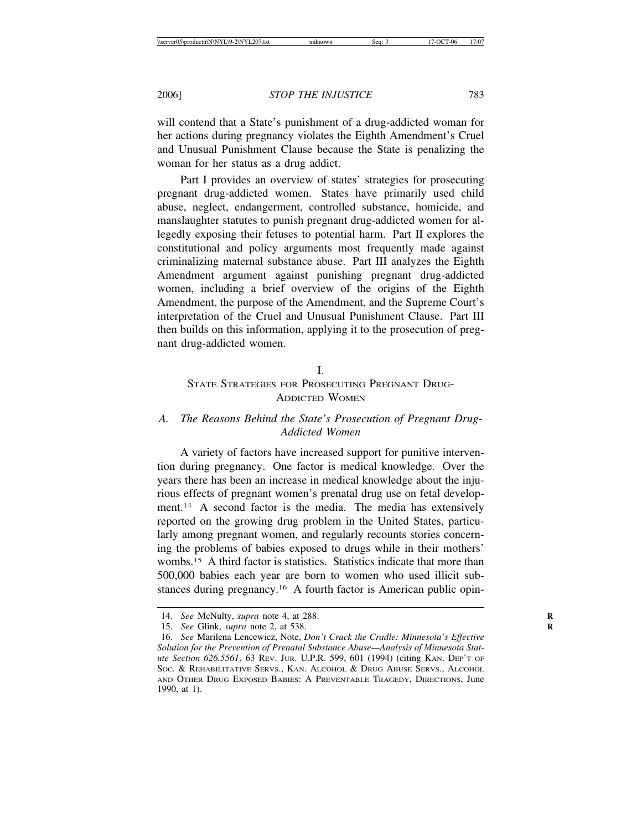will contend that a State's punishment of a drug-addicted woman for her actions during pregnancy violates the Eighth Amendment's Cruel and Unusual Punishment Clause because the State is penalizing the woman for her status as a drug addict.

Part I provides an overview of states' strategies for prosecuting pregnant drug-addicted women. States have primarily used child abuse, neglect, endangerment, controlled substance, homicide, and manslaughter statutes to punish pregnant drug-addicted women for allegedly exposing their fetuses to potential harm. Part II explores the constitutional and policy arguments most frequently made against criminalizing maternal substance abuse. Part III analyzes the Eighth Amendment argument against punishing pregnant drug-addicted women, including a brief overview of the origins of the Eighth Amendment, the purpose of the Amendment, and the Supreme Court's interpretation of the Cruel and Unusual Punishment Clause. Part III then builds on this information, applying it to the prosecution of pregnant drug-addicted women.

#### I.

# STATE STRATEGIES FOR PROSECUTING PREGNANT DRUG-ADDICTED WOMEN

# *A. The Reasons Behind the State's Prosecution of Pregnant Drug-Addicted Women*

A variety of factors have increased support for punitive intervention during pregnancy. One factor is medical knowledge. Over the years there has been an increase in medical knowledge about the injurious effects of pregnant women's prenatal drug use on fetal development.<sup>14</sup> A second factor is the media. The media has extensively reported on the growing drug problem in the United States, particularly among pregnant women, and regularly recounts stories concerning the problems of babies exposed to drugs while in their mothers' wombs.15 A third factor is statistics. Statistics indicate that more than 500,000 babies each year are born to women who used illicit substances during pregnancy.16 A fourth factor is American public opin-

<sup>14.</sup> *See* McNulty, *supra* note 4, at 288. **R**

<sup>15.</sup> *See* Glink, *supra* note 2, at 538. **R**

<sup>16.</sup> *See* Marilena Lencewicz, Note, *Don't Crack the Cradle: Minnesota's Effective Solution for the Prevention of Prenatal Substance Abuse—Analysis of Minnesota Statute Section 626.5561*, 63 REV. JUR. U.P.R. 599, 601 (1994) (citing KAN. DEP'T OF SOC. & REHABILITATIVE SERVS., KAN. ALCOHOL & DRUG ABUSE SERVS., ALCOHOL AND OTHER DRUG EXPOSED BABIES: A PREVENTABLE TRAGEDY, DIRECTIONS, June 1990, at 1).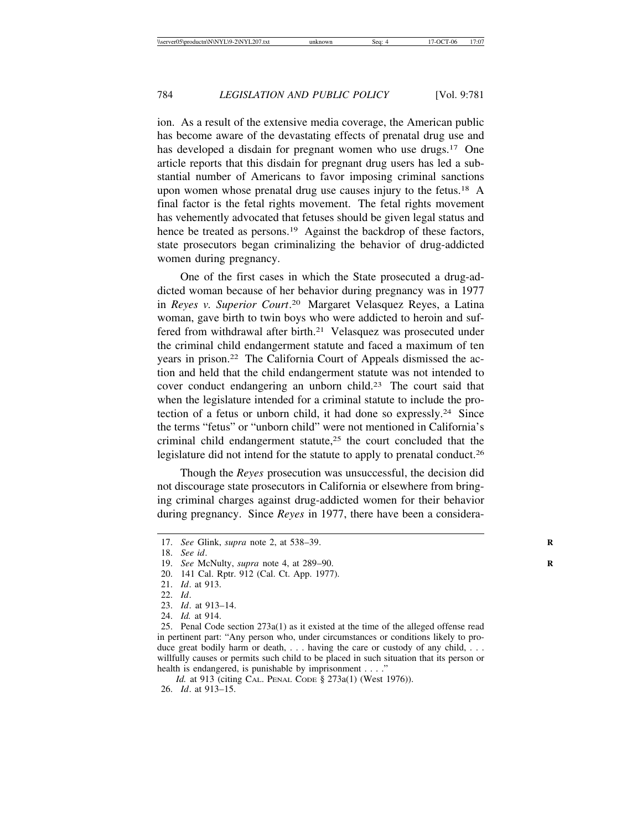ion. As a result of the extensive media coverage, the American public has become aware of the devastating effects of prenatal drug use and has developed a disdain for pregnant women who use drugs.<sup>17</sup> One article reports that this disdain for pregnant drug users has led a substantial number of Americans to favor imposing criminal sanctions upon women whose prenatal drug use causes injury to the fetus.18 A final factor is the fetal rights movement. The fetal rights movement has vehemently advocated that fetuses should be given legal status and hence be treated as persons.<sup>19</sup> Against the backdrop of these factors, state prosecutors began criminalizing the behavior of drug-addicted women during pregnancy.

One of the first cases in which the State prosecuted a drug-addicted woman because of her behavior during pregnancy was in 1977 in *Reyes v. Superior Court*. 20 Margaret Velasquez Reyes, a Latina woman, gave birth to twin boys who were addicted to heroin and suffered from withdrawal after birth.<sup>21</sup> Velasquez was prosecuted under the criminal child endangerment statute and faced a maximum of ten years in prison.22 The California Court of Appeals dismissed the action and held that the child endangerment statute was not intended to cover conduct endangering an unborn child.23 The court said that when the legislature intended for a criminal statute to include the protection of a fetus or unborn child, it had done so expressly.24 Since the terms "fetus" or "unborn child" were not mentioned in California's criminal child endangerment statute,<sup>25</sup> the court concluded that the legislature did not intend for the statute to apply to prenatal conduct.26

Though the *Reyes* prosecution was unsuccessful, the decision did not discourage state prosecutors in California or elsewhere from bringing criminal charges against drug-addicted women for their behavior during pregnancy. Since *Reyes* in 1977, there have been a considera-

23. *Id*. at 913–14.

<sup>17.</sup> *See* Glink, *supra* note 2, at 538–39. **R**

<sup>18.</sup> *See id*.

<sup>19.</sup> *See* McNulty, *supra* note 4, at 289–90. **R**

<sup>20. 141</sup> Cal. Rptr. 912 (Cal. Ct. App. 1977).

<sup>21.</sup> *Id*. at 913.

<sup>22.</sup> *Id*.

<sup>24.</sup> *Id.* at 914.

<sup>25.</sup> Penal Code section 273a(1) as it existed at the time of the alleged offense read in pertinent part: "Any person who, under circumstances or conditions likely to produce great bodily harm or death, . . . having the care or custody of any child, . . . willfully causes or permits such child to be placed in such situation that its person or health is endangered, is punishable by imprisonment . . . ."

*Id.* at 913 (citing CAL. PENAL CODE § 273a(1) (West 1976)). 26. *Id*. at 913–15.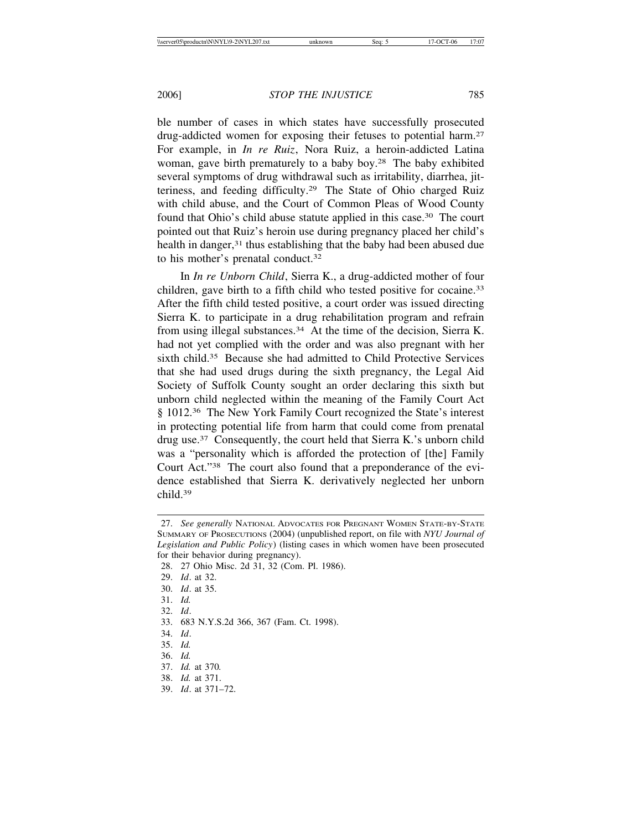ble number of cases in which states have successfully prosecuted drug-addicted women for exposing their fetuses to potential harm.27 For example, in *In re Ruiz*, Nora Ruiz, a heroin-addicted Latina woman, gave birth prematurely to a baby boy.28 The baby exhibited several symptoms of drug withdrawal such as irritability, diarrhea, jitteriness, and feeding difficulty.29 The State of Ohio charged Ruiz with child abuse, and the Court of Common Pleas of Wood County found that Ohio's child abuse statute applied in this case.30 The court pointed out that Ruiz's heroin use during pregnancy placed her child's health in danger,<sup>31</sup> thus establishing that the baby had been abused due to his mother's prenatal conduct.<sup>32</sup>

In *In re Unborn Child*, Sierra K., a drug-addicted mother of four children, gave birth to a fifth child who tested positive for cocaine.33 After the fifth child tested positive, a court order was issued directing Sierra K. to participate in a drug rehabilitation program and refrain from using illegal substances.<sup>34</sup> At the time of the decision, Sierra K. had not yet complied with the order and was also pregnant with her sixth child.<sup>35</sup> Because she had admitted to Child Protective Services that she had used drugs during the sixth pregnancy, the Legal Aid Society of Suffolk County sought an order declaring this sixth but unborn child neglected within the meaning of the Family Court Act § 1012.<sup>36</sup> The New York Family Court recognized the State's interest in protecting potential life from harm that could come from prenatal drug use.37 Consequently, the court held that Sierra K.'s unborn child was a "personality which is afforded the protection of [the] Family Court Act."38 The court also found that a preponderance of the evidence established that Sierra K. derivatively neglected her unborn child.39

32. *Id*.

- 34. *Id*.
- 35. *Id.*
- 36. *Id.*
- 37. *Id.* at 370*.*
- 38. *Id.* at 371.
- 39. *Id*. at 371–72.

<sup>27.</sup> *See generally* NATIONAL ADVOCATES FOR PREGNANT WOMEN STATE-BY-STATE SUMMARY OF PROSECUTIONS (2004) (unpublished report, on file with *NYU Journal of Legislation and Public Policy*) (listing cases in which women have been prosecuted for their behavior during pregnancy).

<sup>28. 27</sup> Ohio Misc. 2d 31, 32 (Com. Pl. 1986).

<sup>29.</sup> *Id*. at 32.

<sup>30.</sup> *Id*. at 35.

<sup>31.</sup> *Id.*

<sup>33. 683</sup> N.Y.S.2d 366, 367 (Fam. Ct. 1998).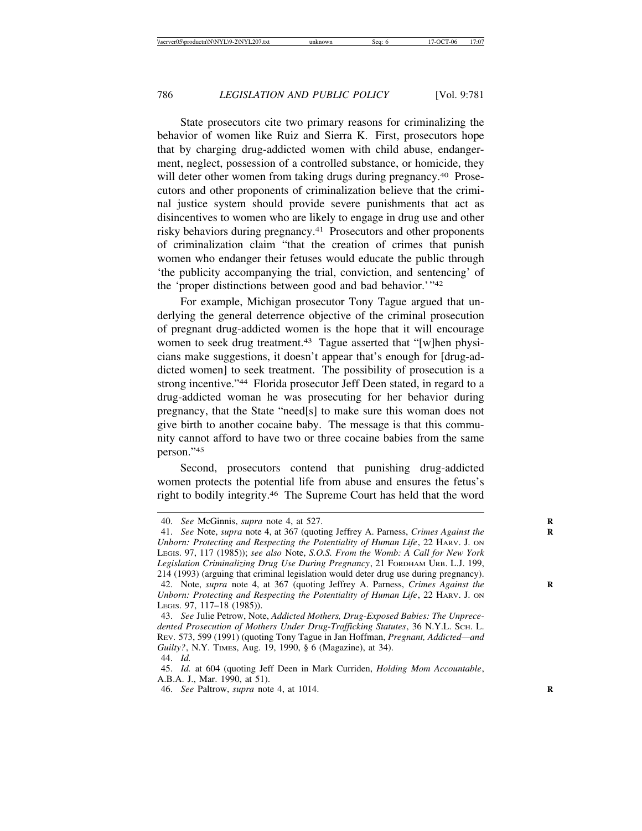State prosecutors cite two primary reasons for criminalizing the behavior of women like Ruiz and Sierra K. First, prosecutors hope that by charging drug-addicted women with child abuse, endangerment, neglect, possession of a controlled substance, or homicide, they will deter other women from taking drugs during pregnancy.<sup>40</sup> Prosecutors and other proponents of criminalization believe that the criminal justice system should provide severe punishments that act as disincentives to women who are likely to engage in drug use and other risky behaviors during pregnancy.41 Prosecutors and other proponents of criminalization claim "that the creation of crimes that punish women who endanger their fetuses would educate the public through 'the publicity accompanying the trial, conviction, and sentencing' of the 'proper distinctions between good and bad behavior.'"42

For example, Michigan prosecutor Tony Tague argued that underlying the general deterrence objective of the criminal prosecution of pregnant drug-addicted women is the hope that it will encourage women to seek drug treatment.<sup>43</sup> Tague asserted that "[w]hen physicians make suggestions, it doesn't appear that's enough for [drug-addicted women] to seek treatment. The possibility of prosecution is a strong incentive."44 Florida prosecutor Jeff Deen stated, in regard to a drug-addicted woman he was prosecuting for her behavior during pregnancy, that the State "need[s] to make sure this woman does not give birth to another cocaine baby. The message is that this community cannot afford to have two or three cocaine babies from the same person."45

Second, prosecutors contend that punishing drug-addicted women protects the potential life from abuse and ensures the fetus's right to bodily integrity.46 The Supreme Court has held that the word

<sup>40.</sup> *See* McGinnis, *supra* note 4, at 527. **R**

<sup>41.</sup> *See* Note, *supra* note 4, at 367 (quoting Jeffrey A. Parness, *Crimes Against the* **R** *Unborn: Protecting and Respecting the Potentiality of Human Life*, 22 HARV. J. ON LEGIS. 97, 117 (1985)); *see also* Note, *S.O.S. From the Womb: A Call for New York Legislation Criminalizing Drug Use During Pregnancy*, 21 FORDHAM URB. L.J. 199, 214 (1993) (arguing that criminal legislation would deter drug use during pregnancy).

<sup>42.</sup> Note, *supra* note 4, at 367 (quoting Jeffrey A. Parness, *Crimes Against the* **R** *Unborn: Protecting and Respecting the Potentiality of Human Life*, 22 HARV. J. ON LEGIS. 97, 117–18 (1985)).

<sup>43.</sup> *See* Julie Petrow, Note, *Addicted Mothers, Drug-Exposed Babies: The Unprecedented Prosecution of Mothers Under Drug-Trafficking Statutes*, 36 N.Y.L. SCH. L. REV. 573, 599 (1991) (quoting Tony Tague in Jan Hoffman, *Pregnant, Addicted—and Guilty?*, N.Y. TIMES, Aug. 19, 1990, § 6 (Magazine), at 34).

<sup>44.</sup> *Id.*

<sup>45.</sup> *Id.* at 604 (quoting Jeff Deen in Mark Curriden, *Holding Mom Accountable*, A.B.A. J., Mar. 1990, at 51).

<sup>46.</sup> *See* Paltrow, *supra* note 4, at 1014. **R**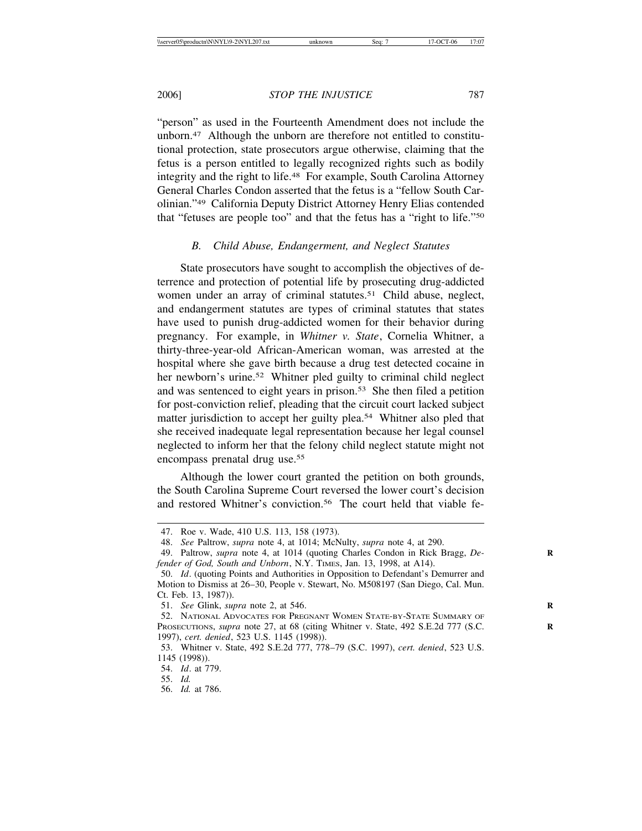"person" as used in the Fourteenth Amendment does not include the unborn.47 Although the unborn are therefore not entitled to constitutional protection, state prosecutors argue otherwise, claiming that the fetus is a person entitled to legally recognized rights such as bodily integrity and the right to life.48 For example, South Carolina Attorney General Charles Condon asserted that the fetus is a "fellow South Carolinian."49 California Deputy District Attorney Henry Elias contended that "fetuses are people too" and that the fetus has a "right to life."50

# *B. Child Abuse, Endangerment, and Neglect Statutes*

State prosecutors have sought to accomplish the objectives of deterrence and protection of potential life by prosecuting drug-addicted women under an array of criminal statutes.<sup>51</sup> Child abuse, neglect, and endangerment statutes are types of criminal statutes that states have used to punish drug-addicted women for their behavior during pregnancy. For example, in *Whitner v. State*, Cornelia Whitner, a thirty-three-year-old African-American woman, was arrested at the hospital where she gave birth because a drug test detected cocaine in her newborn's urine.<sup>52</sup> Whitner pled guilty to criminal child neglect and was sentenced to eight years in prison.53 She then filed a petition for post-conviction relief, pleading that the circuit court lacked subject matter jurisdiction to accept her guilty plea.<sup>54</sup> Whitner also pled that she received inadequate legal representation because her legal counsel neglected to inform her that the felony child neglect statute might not encompass prenatal drug use.<sup>55</sup>

Although the lower court granted the petition on both grounds, the South Carolina Supreme Court reversed the lower court's decision and restored Whitner's conviction.<sup>56</sup> The court held that viable fe-

<sup>47.</sup> Roe v. Wade, 410 U.S. 113, 158 (1973).

<sup>48.</sup> *See* Paltrow, *supra* note 4, at 1014; McNulty, *supra* note 4, at 290.

<sup>49.</sup> Paltrow, *supra* note 4, at 1014 (quoting Charles Condon in Rick Bragg, *De-* **R** *fender of God, South and Unborn*, N.Y. TIMES, Jan. 13, 1998, at A14).

<sup>50.</sup> *Id*. (quoting Points and Authorities in Opposition to Defendant's Demurrer and Motion to Dismiss at 26–30, People v. Stewart, No. M508197 (San Diego, Cal. Mun. Ct. Feb. 13, 1987)).

<sup>51.</sup> *See* Glink, *supra* note 2, at 546. **R**

<sup>52.</sup> NATIONAL ADVOCATES FOR PREGNANT WOMEN STATE-BY-STATE SUMMARY OF PROSECUTIONS, *supra* note 27, at 68 (citing Whitner v. State, 492 S.E.2d 777 (S.C. **R** 1997), *cert. denied*, 523 U.S. 1145 (1998)).

<sup>53.</sup> Whitner v. State, 492 S.E.2d 777, 778–79 (S.C. 1997), *cert. denied*, 523 U.S. 1145 (1998)).

<sup>54.</sup> *Id*. at 779.

<sup>55.</sup> *Id.*

<sup>56.</sup> *Id.* at 786.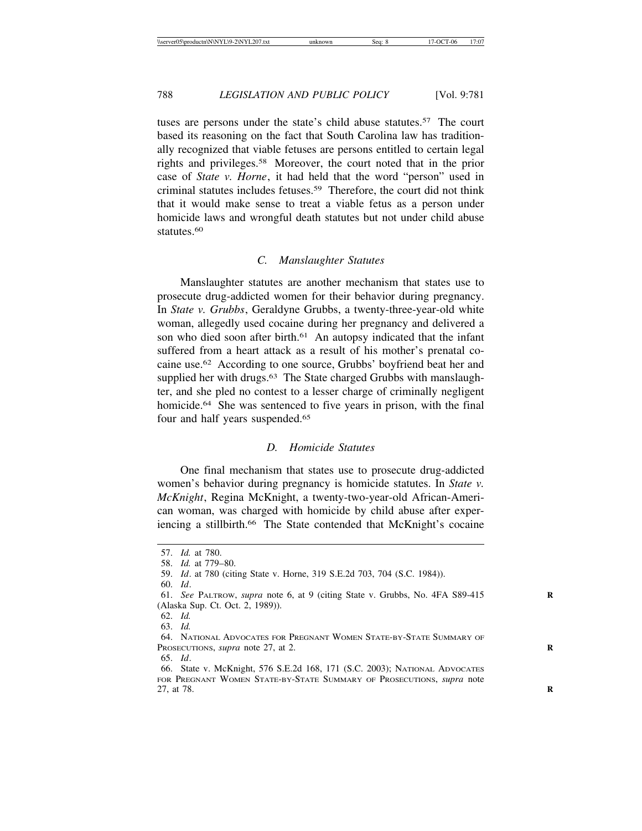tuses are persons under the state's child abuse statutes.57 The court based its reasoning on the fact that South Carolina law has traditionally recognized that viable fetuses are persons entitled to certain legal rights and privileges.58 Moreover, the court noted that in the prior case of *State v. Horne*, it had held that the word "person" used in criminal statutes includes fetuses.59 Therefore, the court did not think that it would make sense to treat a viable fetus as a person under homicide laws and wrongful death statutes but not under child abuse statutes.<sup>60</sup>

## *C. Manslaughter Statutes*

Manslaughter statutes are another mechanism that states use to prosecute drug-addicted women for their behavior during pregnancy. In *State v. Grubbs*, Geraldyne Grubbs, a twenty-three-year-old white woman, allegedly used cocaine during her pregnancy and delivered a son who died soon after birth.<sup>61</sup> An autopsy indicated that the infant suffered from a heart attack as a result of his mother's prenatal cocaine use.62 According to one source, Grubbs' boyfriend beat her and supplied her with drugs.<sup>63</sup> The State charged Grubbs with manslaughter, and she pled no contest to a lesser charge of criminally negligent homicide.<sup>64</sup> She was sentenced to five years in prison, with the final four and half years suspended.<sup>65</sup>

# *D. Homicide Statutes*

One final mechanism that states use to prosecute drug-addicted women's behavior during pregnancy is homicide statutes. In *State v. McKnight*, Regina McKnight, a twenty-two-year-old African-American woman, was charged with homicide by child abuse after experiencing a stillbirth.<sup>66</sup> The State contended that McKnight's cocaine

<sup>57.</sup> *Id.* at 780.

<sup>58.</sup> *Id.* at 779–80.

<sup>59.</sup> *Id*. at 780 (citing State v. Horne, 319 S.E.2d 703, 704 (S.C. 1984)).

<sup>60.</sup> *Id*.

<sup>61.</sup> *See* PALTROW, *supra* note 6, at 9 (citing State v. Grubbs, No. 4FA S89-415 **R** (Alaska Sup. Ct. Oct. 2, 1989)).

<sup>62.</sup> *Id.*

<sup>63.</sup> *Id.*

<sup>64.</sup> NATIONAL ADVOCATES FOR PREGNANT WOMEN STATE-BY-STATE SUMMARY OF PROSECUTIONS, *supra* note 27, at 2.

<sup>65.</sup> *Id*.

<sup>66.</sup> State v. McKnight, 576 S.E.2d 168, 171 (S.C. 2003); NATIONAL ADVOCATES FOR PREGNANT WOMEN STATE-BY-STATE SUMMARY OF PROSECUTIONS, *supra* note 27, at 78. **R**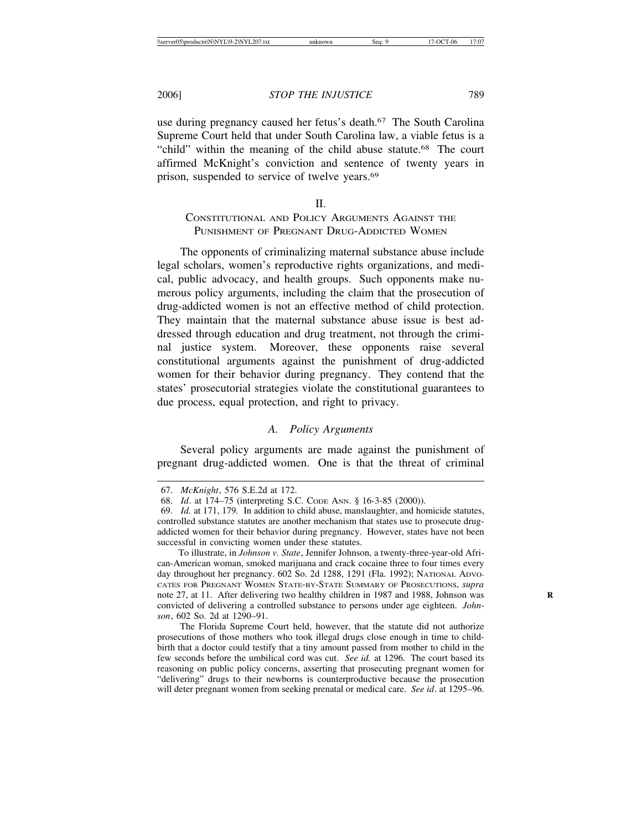use during pregnancy caused her fetus's death.<sup>67</sup> The South Carolina Supreme Court held that under South Carolina law, a viable fetus is a "child" within the meaning of the child abuse statute.68 The court affirmed McKnight's conviction and sentence of twenty years in prison, suspended to service of twelve years.<sup>69</sup>

# II.

# CONSTITUTIONAL AND POLICY ARGUMENTS AGAINST THE PUNISHMENT OF PREGNANT DRUG-ADDICTED WOMEN

The opponents of criminalizing maternal substance abuse include legal scholars, women's reproductive rights organizations, and medical, public advocacy, and health groups. Such opponents make numerous policy arguments, including the claim that the prosecution of drug-addicted women is not an effective method of child protection. They maintain that the maternal substance abuse issue is best addressed through education and drug treatment, not through the criminal justice system. Moreover, these opponents raise several constitutional arguments against the punishment of drug-addicted women for their behavior during pregnancy. They contend that the states' prosecutorial strategies violate the constitutional guarantees to due process, equal protection, and right to privacy.

# *A. Policy Arguments*

Several policy arguments are made against the punishment of pregnant drug-addicted women. One is that the threat of criminal

<sup>67.</sup> *McKnight*, 576 S.E.2d at 172.

<sup>68.</sup> *Id*. at 174–75 (interpreting S.C. CODE ANN. § 16-3-85 (2000)).

<sup>69.</sup> *Id.* at 171, 179*.* In addition to child abuse, manslaughter, and homicide statutes, controlled substance statutes are another mechanism that states use to prosecute drugaddicted women for their behavior during pregnancy. However, states have not been successful in convicting women under these statutes.

To illustrate, in *Johnson v. State*, Jennifer Johnson, a twenty-three-year-old African-American woman, smoked marijuana and crack cocaine three to four times every day throughout her pregnancy. 602 So. 2d 1288, 1291 (Fla. 1992); NATIONAL ADVO-CATES FOR PREGNANT WOMEN STATE-BY-STATE SUMMARY OF PROSECUTIONS, *supra* note 27, at 11. After delivering two healthy children in 1987 and 1988, Johnson was **R** convicted of delivering a controlled substance to persons under age eighteen. *Johnson*, 602 So. 2d at 1290–91.

The Florida Supreme Court held, however, that the statute did not authorize prosecutions of those mothers who took illegal drugs close enough in time to childbirth that a doctor could testify that a tiny amount passed from mother to child in the few seconds before the umbilical cord was cut. *See id.* at 1296. The court based its reasoning on public policy concerns, asserting that prosecuting pregnant women for "delivering" drugs to their newborns is counterproductive because the prosecution will deter pregnant women from seeking prenatal or medical care. *See id*. at 1295–96.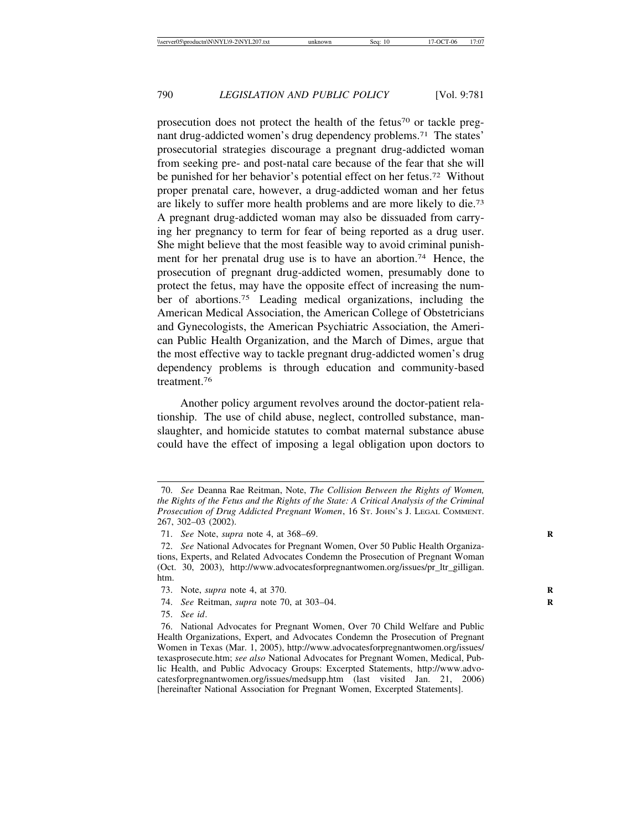prosecution does not protect the health of the fetus<sup>70</sup> or tackle pregnant drug-addicted women's drug dependency problems.71 The states' prosecutorial strategies discourage a pregnant drug-addicted woman from seeking pre- and post-natal care because of the fear that she will be punished for her behavior's potential effect on her fetus.72 Without proper prenatal care, however, a drug-addicted woman and her fetus are likely to suffer more health problems and are more likely to die.73 A pregnant drug-addicted woman may also be dissuaded from carrying her pregnancy to term for fear of being reported as a drug user. She might believe that the most feasible way to avoid criminal punishment for her prenatal drug use is to have an abortion.<sup>74</sup> Hence, the prosecution of pregnant drug-addicted women, presumably done to protect the fetus, may have the opposite effect of increasing the number of abortions.75 Leading medical organizations, including the American Medical Association, the American College of Obstetricians and Gynecologists, the American Psychiatric Association, the American Public Health Organization, and the March of Dimes, argue that the most effective way to tackle pregnant drug-addicted women's drug dependency problems is through education and community-based treatment<sup>76</sup>

Another policy argument revolves around the doctor-patient relationship. The use of child abuse, neglect, controlled substance, manslaughter, and homicide statutes to combat maternal substance abuse could have the effect of imposing a legal obligation upon doctors to

<sup>70.</sup> *See* Deanna Rae Reitman, Note, *The Collision Between the Rights of Women, the Rights of the Fetus and the Rights of the State: A Critical Analysis of the Criminal Prosecution of Drug Addicted Pregnant Women*, 16 ST. JOHN'S J. LEGAL COMMENT. 267, 302–03 (2002).

<sup>71.</sup> *See* Note, *supra* note 4, at 368–69. **R**

<sup>72.</sup> *See* National Advocates for Pregnant Women, Over 50 Public Health Organizations, Experts, and Related Advocates Condemn the Prosecution of Pregnant Woman (Oct. 30, 2003), http://www.advocatesforpregnantwomen.org/issues/pr\_ltr\_gilligan. htm.

<sup>73.</sup> Note, *supra* note 4, at 370. **R**

<sup>74.</sup> *See* Reitman, *supra* note 70, at 303–04. **R**

<sup>75.</sup> *See id*.

<sup>76.</sup> National Advocates for Pregnant Women, Over 70 Child Welfare and Public Health Organizations, Expert, and Advocates Condemn the Prosecution of Pregnant Women in Texas (Mar. 1, 2005), http://www.advocatesforpregnantwomen.org/issues/ texasprosecute.htm; *see also* National Advocates for Pregnant Women, Medical, Public Health, and Public Advocacy Groups: Excerpted Statements, http://www.advocatesforpregnantwomen.org/issues/medsupp.htm (last visited Jan. 21, 2006) [hereinafter National Association for Pregnant Women, Excerpted Statements].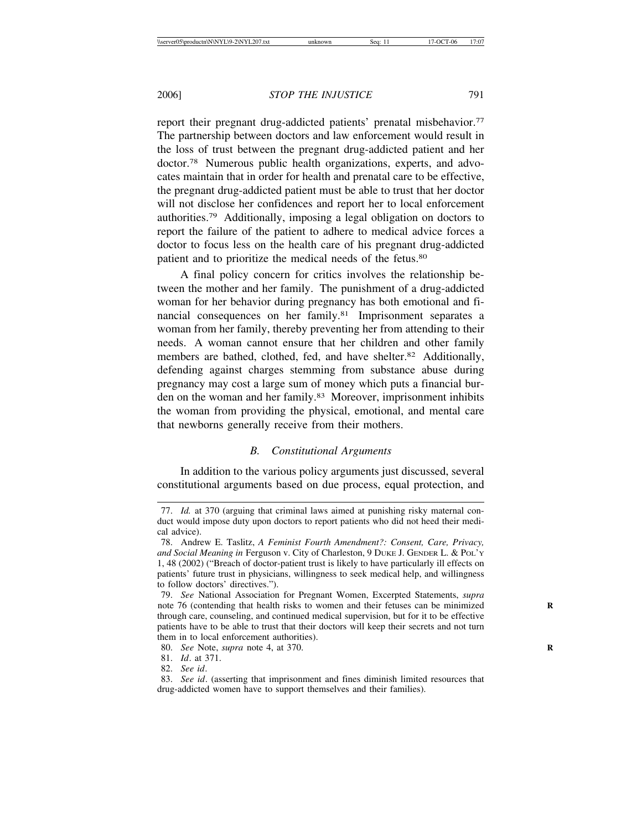report their pregnant drug-addicted patients' prenatal misbehavior.<sup>77</sup> The partnership between doctors and law enforcement would result in the loss of trust between the pregnant drug-addicted patient and her doctor.78 Numerous public health organizations, experts, and advocates maintain that in order for health and prenatal care to be effective, the pregnant drug-addicted patient must be able to trust that her doctor will not disclose her confidences and report her to local enforcement authorities.79 Additionally, imposing a legal obligation on doctors to report the failure of the patient to adhere to medical advice forces a doctor to focus less on the health care of his pregnant drug-addicted patient and to prioritize the medical needs of the fetus.80

A final policy concern for critics involves the relationship between the mother and her family. The punishment of a drug-addicted woman for her behavior during pregnancy has both emotional and financial consequences on her family.81 Imprisonment separates a woman from her family, thereby preventing her from attending to their needs. A woman cannot ensure that her children and other family members are bathed, clothed, fed, and have shelter.<sup>82</sup> Additionally, defending against charges stemming from substance abuse during pregnancy may cost a large sum of money which puts a financial burden on the woman and her family.83 Moreover, imprisonment inhibits the woman from providing the physical, emotional, and mental care that newborns generally receive from their mothers.

# *B. Constitutional Arguments*

In addition to the various policy arguments just discussed, several constitutional arguments based on due process, equal protection, and

- 80. *See* Note, *supra* note 4, at 370. **R**
- 81. *Id*. at 371.
- 82. *See id*.

<sup>77.</sup> *Id.* at 370 (arguing that criminal laws aimed at punishing risky maternal conduct would impose duty upon doctors to report patients who did not heed their medical advice).

<sup>78.</sup> Andrew E. Taslitz, *A Feminist Fourth Amendment?: Consent, Care, Privacy, and Social Meaning in* Ferguson v. City of Charleston, 9 DUKE J. GENDER L. & POL'Y 1, 48 (2002) ("Breach of doctor-patient trust is likely to have particularly ill effects on patients' future trust in physicians, willingness to seek medical help, and willingness to follow doctors' directives.").

<sup>79.</sup> *See* National Association for Pregnant Women, Excerpted Statements, *supra* note 76 (contending that health risks to women and their fetuses can be minimized **R** through care, counseling, and continued medical supervision, but for it to be effective patients have to be able to trust that their doctors will keep their secrets and not turn them in to local enforcement authorities).

<sup>83.</sup> *See id*. (asserting that imprisonment and fines diminish limited resources that drug-addicted women have to support themselves and their families).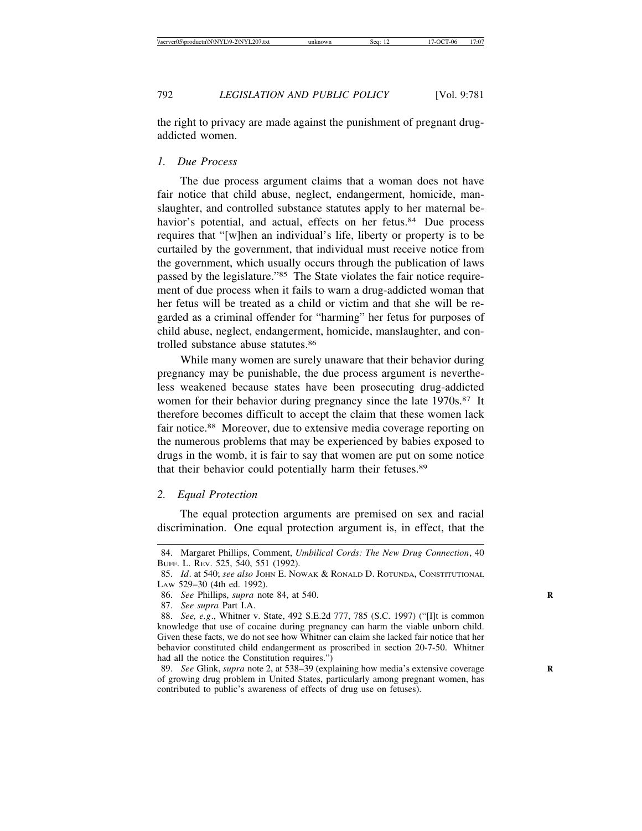the right to privacy are made against the punishment of pregnant drugaddicted women.

#### *1. Due Process*

The due process argument claims that a woman does not have fair notice that child abuse, neglect, endangerment, homicide, manslaughter, and controlled substance statutes apply to her maternal behavior's potential, and actual, effects on her fetus.<sup>84</sup> Due process requires that "[w]hen an individual's life, liberty or property is to be curtailed by the government, that individual must receive notice from the government, which usually occurs through the publication of laws passed by the legislature."85 The State violates the fair notice requirement of due process when it fails to warn a drug-addicted woman that her fetus will be treated as a child or victim and that she will be regarded as a criminal offender for "harming" her fetus for purposes of child abuse, neglect, endangerment, homicide, manslaughter, and controlled substance abuse statutes.86

While many women are surely unaware that their behavior during pregnancy may be punishable, the due process argument is nevertheless weakened because states have been prosecuting drug-addicted women for their behavior during pregnancy since the late 1970s.<sup>87</sup> It therefore becomes difficult to accept the claim that these women lack fair notice.88 Moreover, due to extensive media coverage reporting on the numerous problems that may be experienced by babies exposed to drugs in the womb, it is fair to say that women are put on some notice that their behavior could potentially harm their fetuses.89

## *2. Equal Protection*

The equal protection arguments are premised on sex and racial discrimination. One equal protection argument is, in effect, that the

<sup>84.</sup> Margaret Phillips, Comment, *Umbilical Cords: The New Drug Connection*, 40 BUFF. L. REV. 525, 540, 551 (1992).

<sup>85.</sup> *Id*. at 540; *see also* JOHN E. NOWAK & RONALD D. ROTUNDA, CONSTITUTIONAL LAW 529–30 (4th ed. 1992).

<sup>86.</sup> *See* Phillips, *supra* note 84, at 540. **R**

<sup>87.</sup> *See supra* Part I.A.

<sup>88.</sup> *See, e.g*., Whitner v. State, 492 S.E.2d 777, 785 (S.C. 1997) ("[I]t is common knowledge that use of cocaine during pregnancy can harm the viable unborn child. Given these facts, we do not see how Whitner can claim she lacked fair notice that her behavior constituted child endangerment as proscribed in section 20-7-50. Whitner had all the notice the Constitution requires.")

<sup>89.</sup> *See* Glink, *supra* note 2, at 538–39 (explaining how media's extensive coverage **R** of growing drug problem in United States, particularly among pregnant women, has contributed to public's awareness of effects of drug use on fetuses).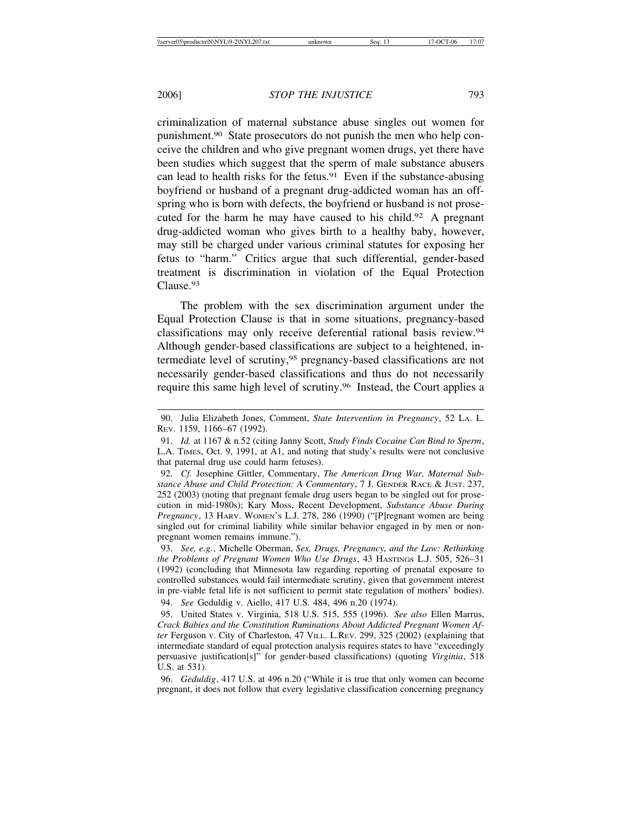criminalization of maternal substance abuse singles out women for punishment.90 State prosecutors do not punish the men who help conceive the children and who give pregnant women drugs, yet there have been studies which suggest that the sperm of male substance abusers can lead to health risks for the fetus.<sup>91</sup> Even if the substance-abusing boyfriend or husband of a pregnant drug-addicted woman has an offspring who is born with defects, the boyfriend or husband is not prosecuted for the harm he may have caused to his child.92 A pregnant drug-addicted woman who gives birth to a healthy baby, however, may still be charged under various criminal statutes for exposing her fetus to "harm." Critics argue that such differential, gender-based treatment is discrimination in violation of the Equal Protection Clause.93

The problem with the sex discrimination argument under the Equal Protection Clause is that in some situations, pregnancy-based classifications may only receive deferential rational basis review.94 Although gender-based classifications are subject to a heightened, intermediate level of scrutiny,95 pregnancy-based classifications are not necessarily gender-based classifications and thus do not necessarily require this same high level of scrutiny.96 Instead, the Court applies a

93. *See, e.g.*, Michelle Oberman, *Sex, Drugs, Pregnancy, and the Law: Rethinking the Problems of Pregnant Women Who Use Drugs*, 43 HASTINGS L.J. 505, 526–31 (1992) (concluding that Minnesota law regarding reporting of prenatal exposure to controlled substances would fail intermediate scrutiny, given that government interest in pre-viable fetal life is not sufficient to permit state regulation of mothers' bodies).

94. *See* Geduldig v. Aiello, 417 U.S. 484, 496 n.20 (1974).

95. United States v. Virginia, 518 U.S. 515, 555 (1996). *See also* Ellen Marrus, *Crack Babies and the Constitution Ruminations About Addicted Pregnant Women After* Ferguson v. City of Charleston, 47 VILL. L.REV. 299, 325 (2002) (explaining that intermediate standard of equal protection analysis requires states to have "exceedingly persuasive justification[s]" for gender-based classifications) (quoting *Virginia*, 518 U.S. at 531).

96. *Geduldig*, 417 U.S. at 496 n.20 ("While it is true that only women can become pregnant, it does not follow that every legislative classification concerning pregnancy

<sup>90.</sup> Julia Elizabeth Jones, Comment, *State Intervention in Pregnancy*, 52 LA. L. REV. 1159, 1166–67 (1992).

<sup>91.</sup> *Id.* at 1167 & n.52 (citing Janny Scott, *Study Finds Cocaine Can Bind to Sperm*, L.A. TIMES, Oct. 9, 1991, at A1, and noting that study's results were not conclusive that paternal drug use could harm fetuses).

<sup>92.</sup> *Cf.* Josephine Gittler, Commentary, *The American Drug War, Maternal Substance Abuse and Child Protection: A Commentary*, 7 J. GENDER RACE & JUST. 237, 252 (2003) (noting that pregnant female drug users began to be singled out for prosecution in mid-1980s); Kary Moss, Recent Development, *Substance Abuse During Pregnancy*, 13 HARV. WOMEN'S L.J. 278, 286 (1990) ("[P]regnant women are being singled out for criminal liability while similar behavior engaged in by men or nonpregnant women remains immune.").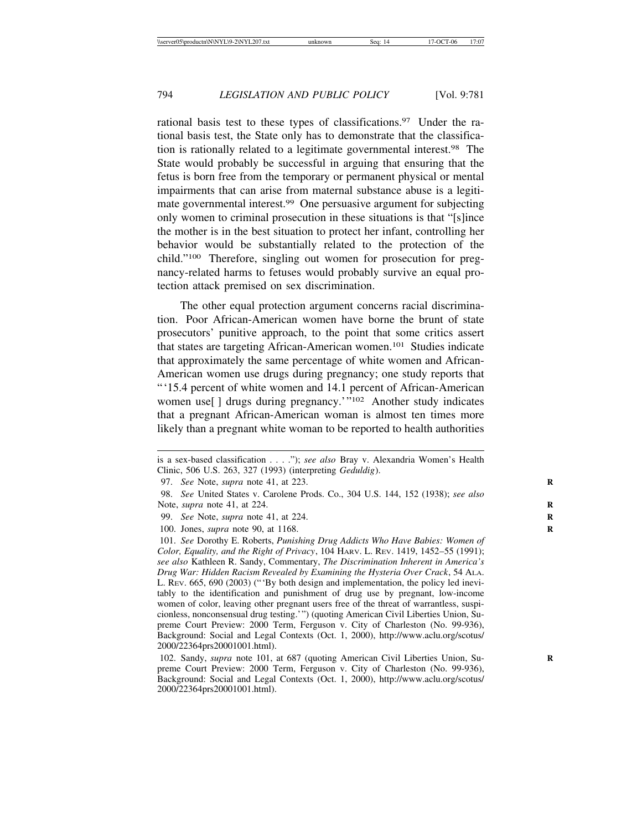rational basis test to these types of classifications.<sup>97</sup> Under the rational basis test, the State only has to demonstrate that the classification is rationally related to a legitimate governmental interest.98 The State would probably be successful in arguing that ensuring that the fetus is born free from the temporary or permanent physical or mental impairments that can arise from maternal substance abuse is a legitimate governmental interest.99 One persuasive argument for subjecting only women to criminal prosecution in these situations is that "[s]ince the mother is in the best situation to protect her infant, controlling her behavior would be substantially related to the protection of the child."100 Therefore, singling out women for prosecution for pregnancy-related harms to fetuses would probably survive an equal protection attack premised on sex discrimination.

The other equal protection argument concerns racial discrimination. Poor African-American women have borne the brunt of state prosecutors' punitive approach, to the point that some critics assert that states are targeting African-American women.101 Studies indicate that approximately the same percentage of white women and African-American women use drugs during pregnancy; one study reports that "'15.4 percent of white women and 14.1 percent of African-American women use[ ] drugs during pregnancy.'"102 Another study indicates that a pregnant African-American woman is almost ten times more likely than a pregnant white woman to be reported to health authorities

is a sex-based classification . . . ."); *see also* Bray v. Alexandria Women's Health Clinic, 506 U.S. 263, 327 (1993) (interpreting *Geduldig*).

<sup>97.</sup> *See* Note, *supra* note 41, at 223. **R**

<sup>98.</sup> *See* United States v. Carolene Prods. Co., 304 U.S. 144, 152 (1938); *see also* Note, *supra* note 41, at 224. **R**

<sup>99.</sup> *See* Note, *supra* note 41, at 224. **R**

<sup>100.</sup> Jones, *supra* note 90, at 1168. **R**

<sup>101.</sup> *See* Dorothy E. Roberts, *Punishing Drug Addicts Who Have Babies: Women of Color, Equality, and the Right of Privacy*, 104 HARV. L. REV. 1419, 1452–55 (1991); *see also* Kathleen R. Sandy, Commentary, *The Discrimination Inherent in America's Drug War: Hidden Racism Revealed by Examining the Hysteria Over Crack*, 54 ALA. L. REV. 665, 690 (2003) ("'By both design and implementation, the policy led inevitably to the identification and punishment of drug use by pregnant, low-income women of color, leaving other pregnant users free of the threat of warrantless, suspicionless, nonconsensual drug testing.'") (quoting American Civil Liberties Union, Supreme Court Preview: 2000 Term, Ferguson v. City of Charleston (No. 99-936), Background: Social and Legal Contexts (Oct. 1, 2000), http://www.aclu.org/scotus/ 2000/22364prs20001001.html).

<sup>102.</sup> Sandy, *supra* note 101, at 687 (quoting American Civil Liberties Union, Supreme Court Preview: 2000 Term, Ferguson v. City of Charleston (No. 99-936), Background: Social and Legal Contexts (Oct. 1, 2000), http://www.aclu.org/scotus/ 2000/22364prs20001001.html).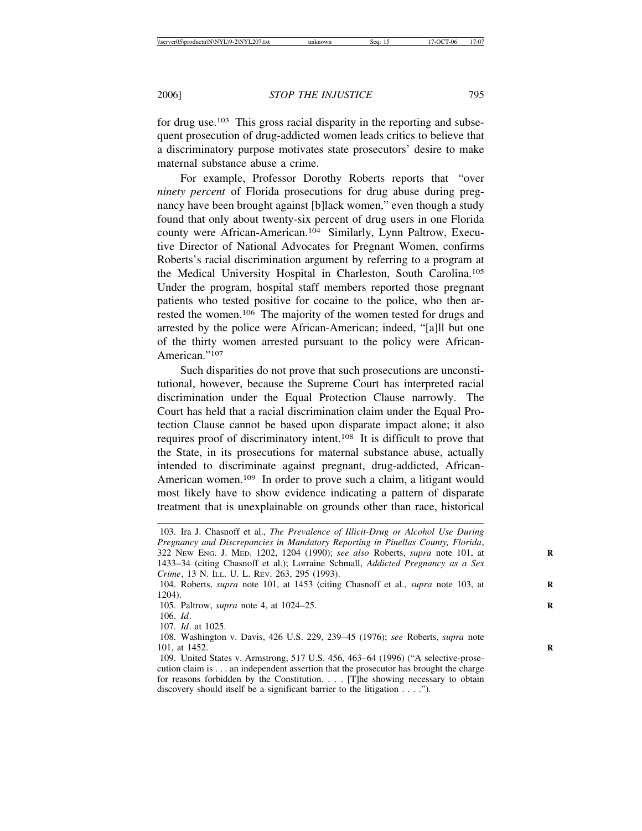for drug use.103 This gross racial disparity in the reporting and subsequent prosecution of drug-addicted women leads critics to believe that a discriminatory purpose motivates state prosecutors' desire to make maternal substance abuse a crime.

For example, Professor Dorothy Roberts reports that "over *ninety percent* of Florida prosecutions for drug abuse during pregnancy have been brought against [b]lack women," even though a study found that only about twenty-six percent of drug users in one Florida county were African-American.104 Similarly, Lynn Paltrow, Executive Director of National Advocates for Pregnant Women, confirms Roberts's racial discrimination argument by referring to a program at the Medical University Hospital in Charleston, South Carolina.105 Under the program, hospital staff members reported those pregnant patients who tested positive for cocaine to the police, who then arrested the women.106 The majority of the women tested for drugs and arrested by the police were African-American; indeed, "[a]ll but one of the thirty women arrested pursuant to the policy were African-American."<sup>107</sup>

Such disparities do not prove that such prosecutions are unconstitutional, however, because the Supreme Court has interpreted racial discrimination under the Equal Protection Clause narrowly. The Court has held that a racial discrimination claim under the Equal Protection Clause cannot be based upon disparate impact alone; it also requires proof of discriminatory intent.108 It is difficult to prove that the State, in its prosecutions for maternal substance abuse, actually intended to discriminate against pregnant, drug-addicted, African-American women.<sup>109</sup> In order to prove such a claim, a litigant would most likely have to show evidence indicating a pattern of disparate treatment that is unexplainable on grounds other than race, historical

<sup>103.</sup> Ira J. Chasnoff et al., *The Prevalence of Illicit-Drug or Alcohol Use During Pregnancy and Discrepancies in Mandatory Reporting in Pinellas County, Florida*, 322 NEW ENG. J. MED. 1202, 1204 (1990); *see also* Roberts, *supra* note 101, at **R** 1433–34 (citing Chasnoff et al.); Lorraine Schmall, *Addicted Pregnancy as a Sex Crime*, 13 N. ILL. U. L. REV. 263, 295 (1993).

<sup>104.</sup> Roberts, *supra* note 101, at 1453 (citing Chasnoff et al., *supra* note 103, at **R** 1204).

<sup>105.</sup> Paltrow, *supra* note 4, at 1024–25. **R**

<sup>106.</sup> *Id*.

<sup>107.</sup> *Id*. at 1025.

<sup>108.</sup> Washington v. Davis, 426 U.S. 229, 239–45 (1976); *see* Roberts, *supra* note 101, at 1452. **R**

<sup>109.</sup> United States v. Armstrong, 517 U.S. 456, 463–64 (1996) ("A selective-prosecution claim is . . . an independent assertion that the prosecutor has brought the charge for reasons forbidden by the Constitution. . . . [T]he showing necessary to obtain discovery should itself be a significant barrier to the litigation . . . .").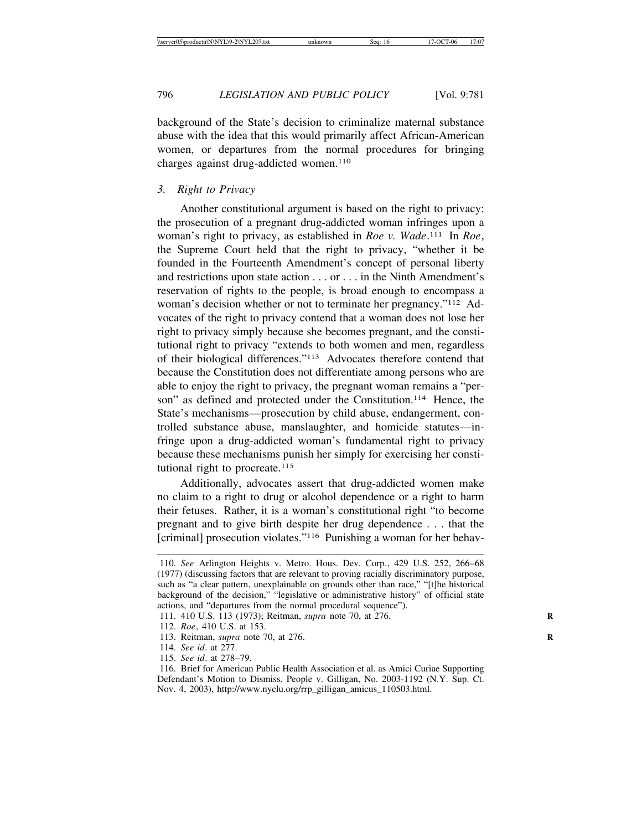background of the State's decision to criminalize maternal substance abuse with the idea that this would primarily affect African-American women, or departures from the normal procedures for bringing charges against drug-addicted women.110

## *3. Right to Privacy*

Another constitutional argument is based on the right to privacy: the prosecution of a pregnant drug-addicted woman infringes upon a woman's right to privacy, as established in *Roe v. Wade*. 111 In *Roe*, the Supreme Court held that the right to privacy, "whether it be founded in the Fourteenth Amendment's concept of personal liberty and restrictions upon state action . . . or . . . in the Ninth Amendment's reservation of rights to the people, is broad enough to encompass a woman's decision whether or not to terminate her pregnancy."112 Advocates of the right to privacy contend that a woman does not lose her right to privacy simply because she becomes pregnant, and the constitutional right to privacy "extends to both women and men, regardless of their biological differences."113 Advocates therefore contend that because the Constitution does not differentiate among persons who are able to enjoy the right to privacy, the pregnant woman remains a "person" as defined and protected under the Constitution.<sup>114</sup> Hence, the State's mechanisms—prosecution by child abuse, endangerment, controlled substance abuse, manslaughter, and homicide statutes—infringe upon a drug-addicted woman's fundamental right to privacy because these mechanisms punish her simply for exercising her constitutional right to procreate.<sup>115</sup>

Additionally, advocates assert that drug-addicted women make no claim to a right to drug or alcohol dependence or a right to harm their fetuses. Rather, it is a woman's constitutional right "to become pregnant and to give birth despite her drug dependence . . . that the [criminal] prosecution violates."116 Punishing a woman for her behav-

115. *See id*. at 278–79.

<sup>110.</sup> *See* Arlington Heights v. Metro. Hous. Dev. Corp*.*, 429 U.S. 252, 266–68 (1977) (discussing factors that are relevant to proving racially discriminatory purpose, such as "a clear pattern, unexplainable on grounds other than race," "[t]he historical background of the decision," "legislative or administrative history" of official state actions, and "departures from the normal procedural sequence").

<sup>111. 410</sup> U.S. 113 (1973); Reitman, *supra* note 70, at 276. **R**

<sup>112.</sup> *Roe*, 410 U.S. at 153.

<sup>113.</sup> Reitman, *supra* note 70, at 276. **R**

<sup>114.</sup> *See id*. at 277.

<sup>116.</sup> Brief for American Public Health Association et al. as Amici Curiae Supporting Defendant's Motion to Dismiss, People v. Gilligan, No. 2003-1192 (N.Y. Sup. Ct. Nov. 4, 2003), http://www.nyclu.org/rrp\_gilligan\_amicus\_110503.html.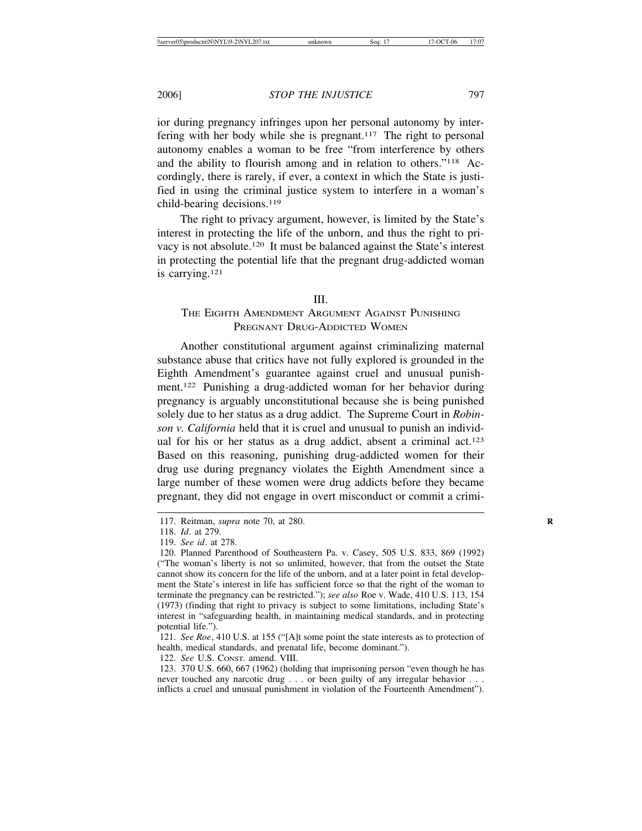ior during pregnancy infringes upon her personal autonomy by interfering with her body while she is pregnant.117 The right to personal autonomy enables a woman to be free "from interference by others and the ability to flourish among and in relation to others."118 Accordingly, there is rarely, if ever, a context in which the State is justified in using the criminal justice system to interfere in a woman's child-bearing decisions.119

The right to privacy argument, however, is limited by the State's interest in protecting the life of the unborn, and thus the right to privacy is not absolute.120 It must be balanced against the State's interest in protecting the potential life that the pregnant drug-addicted woman is carrying.121

#### III.

# THE EIGHTH AMENDMENT ARGUMENT AGAINST PUNISHING PREGNANT DRUG-ADDICTED WOMEN

Another constitutional argument against criminalizing maternal substance abuse that critics have not fully explored is grounded in the Eighth Amendment's guarantee against cruel and unusual punishment.122 Punishing a drug-addicted woman for her behavior during pregnancy is arguably unconstitutional because she is being punished solely due to her status as a drug addict. The Supreme Court in *Robinson v. California* held that it is cruel and unusual to punish an individual for his or her status as a drug addict, absent a criminal act.<sup>123</sup> Based on this reasoning, punishing drug-addicted women for their drug use during pregnancy violates the Eighth Amendment since a large number of these women were drug addicts before they became pregnant, they did not engage in overt misconduct or commit a crimi-

121. *See Roe*, 410 U.S. at 155 ("[A]t some point the state interests as to protection of health, medical standards, and prenatal life, become dominant.").

122. *See* U.S. CONST. amend. VIII.

<sup>117.</sup> Reitman, *supra* note 70, at 280. **R**

<sup>118.</sup> *Id*. at 279.

<sup>119.</sup> *See id*. at 278.

<sup>120.</sup> Planned Parenthood of Southeastern Pa. v. Casey, 505 U.S. 833, 869 (1992) ("The woman's liberty is not so unlimited, however, that from the outset the State cannot show its concern for the life of the unborn, and at a later point in fetal development the State's interest in life has sufficient force so that the right of the woman to terminate the pregnancy can be restricted."); *see also* Roe v. Wade, 410 U.S. 113, 154 (1973) (finding that right to privacy is subject to some limitations, including State's interest in "safeguarding health, in maintaining medical standards, and in protecting potential life.").

<sup>123. 370</sup> U.S. 660, 667 (1962) (holding that imprisoning person "even though he has never touched any narcotic drug . . . or been guilty of any irregular behavior . . . inflicts a cruel and unusual punishment in violation of the Fourteenth Amendment").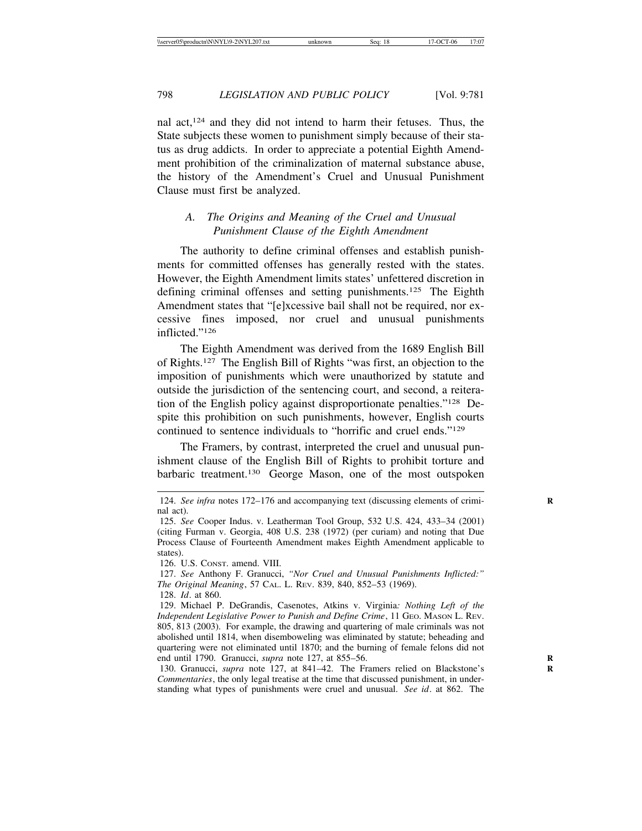nal act,124 and they did not intend to harm their fetuses. Thus, the State subjects these women to punishment simply because of their status as drug addicts. In order to appreciate a potential Eighth Amendment prohibition of the criminalization of maternal substance abuse, the history of the Amendment's Cruel and Unusual Punishment Clause must first be analyzed.

# *A. The Origins and Meaning of the Cruel and Unusual Punishment Clause of the Eighth Amendment*

The authority to define criminal offenses and establish punishments for committed offenses has generally rested with the states. However, the Eighth Amendment limits states' unfettered discretion in defining criminal offenses and setting punishments.<sup>125</sup> The Eighth Amendment states that "[e]xcessive bail shall not be required, nor excessive fines imposed, nor cruel and unusual punishments inflicted."126

The Eighth Amendment was derived from the 1689 English Bill of Rights.127 The English Bill of Rights "was first, an objection to the imposition of punishments which were unauthorized by statute and outside the jurisdiction of the sentencing court, and second, a reiteration of the English policy against disproportionate penalties."128 Despite this prohibition on such punishments, however, English courts continued to sentence individuals to "horrific and cruel ends."129

The Framers, by contrast, interpreted the cruel and unusual punishment clause of the English Bill of Rights to prohibit torture and barbaric treatment.130 George Mason, one of the most outspoken

<sup>124.</sup> *See infra* notes 172–176 and accompanying text (discussing elements of criminal act).

<sup>125.</sup> *See* Cooper Indus. v. Leatherman Tool Group, 532 U.S. 424, 433–34 (2001) (citing Furman v. Georgia, 408 U.S. 238 (1972) (per curiam) and noting that Due Process Clause of Fourteenth Amendment makes Eighth Amendment applicable to states).

<sup>126.</sup> U.S. CONST. amend. VIII.

<sup>127.</sup> *See* Anthony F. Granucci, *"Nor Cruel and Unusual Punishments Inflicted:" The Original Meaning*, 57 CAL. L. REV. 839, 840, 852–53 (1969). 128. *Id*. at 860.

<sup>129.</sup> Michael P. DeGrandis, Casenotes, Atkins v. Virginia*: Nothing Left of the Independent Legislative Power to Punish and Define Crime*, 11 GEO. MASON L. REV. 805, 813 (2003). For example, the drawing and quartering of male criminals was not abolished until 1814, when disemboweling was eliminated by statute; beheading and quartering were not eliminated until 1870; and the burning of female felons did not end until 1790. Granucci, *supra* note 127, at 855–56. **R**

<sup>130.</sup> Granucci, *supra* note 127, at 841-42. The Framers relied on Blackstone's *Commentaries*, the only legal treatise at the time that discussed punishment, in understanding what types of punishments were cruel and unusual. *See id*. at 862. The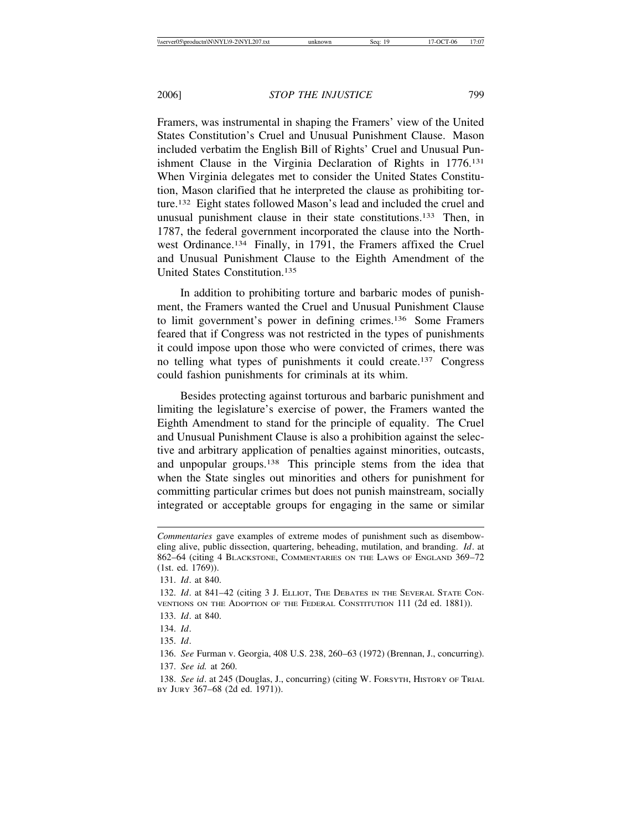Framers, was instrumental in shaping the Framers' view of the United States Constitution's Cruel and Unusual Punishment Clause. Mason included verbatim the English Bill of Rights' Cruel and Unusual Punishment Clause in the Virginia Declaration of Rights in 1776.131 When Virginia delegates met to consider the United States Constitution, Mason clarified that he interpreted the clause as prohibiting torture.132 Eight states followed Mason's lead and included the cruel and unusual punishment clause in their state constitutions.133 Then, in 1787, the federal government incorporated the clause into the Northwest Ordinance.134 Finally, in 1791, the Framers affixed the Cruel and Unusual Punishment Clause to the Eighth Amendment of the United States Constitution.135

In addition to prohibiting torture and barbaric modes of punishment, the Framers wanted the Cruel and Unusual Punishment Clause to limit government's power in defining crimes.136 Some Framers feared that if Congress was not restricted in the types of punishments it could impose upon those who were convicted of crimes, there was no telling what types of punishments it could create.137 Congress could fashion punishments for criminals at its whim.

Besides protecting against torturous and barbaric punishment and limiting the legislature's exercise of power, the Framers wanted the Eighth Amendment to stand for the principle of equality. The Cruel and Unusual Punishment Clause is also a prohibition against the selective and arbitrary application of penalties against minorities, outcasts, and unpopular groups.138 This principle stems from the idea that when the State singles out minorities and others for punishment for committing particular crimes but does not punish mainstream, socially integrated or acceptable groups for engaging in the same or similar

134. *Id*.

*Commentaries* gave examples of extreme modes of punishment such as disemboweling alive, public dissection, quartering, beheading, mutilation, and branding. *Id*. at 862–64 (citing 4 BLACKSTONE, COMMENTARIES ON THE LAWS OF ENGLAND 369–72 (1st. ed. 1769)).

<sup>131.</sup> *Id*. at 840.

<sup>132.</sup> *Id*. at 841–42 (citing 3 J. ELLIOT, THE DEBATES IN THE SEVERAL STATE CON-VENTIONS ON THE ADOPTION OF THE FEDERAL CONSTITUTION 111 (2d ed. 1881)).

<sup>133.</sup> *Id*. at 840.

<sup>135.</sup> *Id*.

<sup>136.</sup> *See* Furman v. Georgia, 408 U.S. 238, 260–63 (1972) (Brennan, J., concurring). 137. *See id.* at 260.

<sup>138.</sup> *See id*. at 245 (Douglas, J., concurring) (citing W. FORSYTH, HISTORY OF TRIAL BY JURY 367–68 (2d ed. 1971)).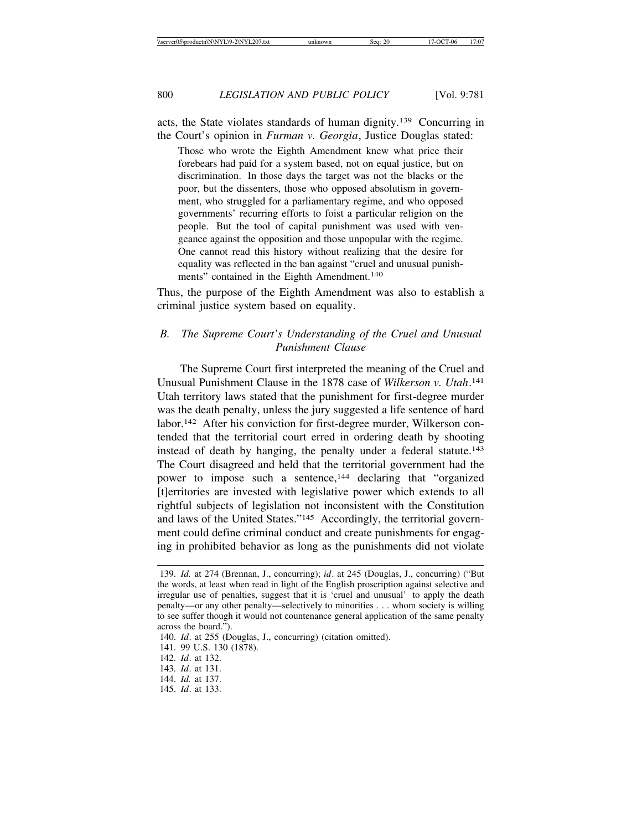acts, the State violates standards of human dignity.139 Concurring in the Court's opinion in *Furman v. Georgia*, Justice Douglas stated:

Those who wrote the Eighth Amendment knew what price their forebears had paid for a system based, not on equal justice, but on discrimination. In those days the target was not the blacks or the poor, but the dissenters, those who opposed absolutism in government, who struggled for a parliamentary regime, and who opposed governments' recurring efforts to foist a particular religion on the people. But the tool of capital punishment was used with vengeance against the opposition and those unpopular with the regime. One cannot read this history without realizing that the desire for equality was reflected in the ban against "cruel and unusual punishments" contained in the Eighth Amendment.<sup>140</sup>

Thus, the purpose of the Eighth Amendment was also to establish a criminal justice system based on equality.

# *B. The Supreme Court's Understanding of the Cruel and Unusual Punishment Clause*

The Supreme Court first interpreted the meaning of the Cruel and Unusual Punishment Clause in the 1878 case of *Wilkerson v. Utah*. 141 Utah territory laws stated that the punishment for first-degree murder was the death penalty, unless the jury suggested a life sentence of hard labor.<sup>142</sup> After his conviction for first-degree murder, Wilkerson contended that the territorial court erred in ordering death by shooting instead of death by hanging, the penalty under a federal statute.<sup>143</sup> The Court disagreed and held that the territorial government had the power to impose such a sentence,<sup>144</sup> declaring that "organized" [t]erritories are invested with legislative power which extends to all rightful subjects of legislation not inconsistent with the Constitution and laws of the United States."145 Accordingly, the territorial government could define criminal conduct and create punishments for engaging in prohibited behavior as long as the punishments did not violate

- 140. *Id*. at 255 (Douglas, J., concurring) (citation omitted).
- 141. 99 U.S. 130 (1878).
- 142. *Id*. at 132.

145. *Id*. at 133.

<sup>139.</sup> *Id.* at 274 (Brennan, J., concurring); *id*. at 245 (Douglas, J., concurring) ("But the words, at least when read in light of the English proscription against selective and irregular use of penalties, suggest that it is 'cruel and unusual' to apply the death penalty—or any other penalty—selectively to minorities . . . whom society is willing to see suffer though it would not countenance general application of the same penalty across the board.").

<sup>143.</sup> *Id*. at 131.

<sup>144.</sup> *Id.* at 137.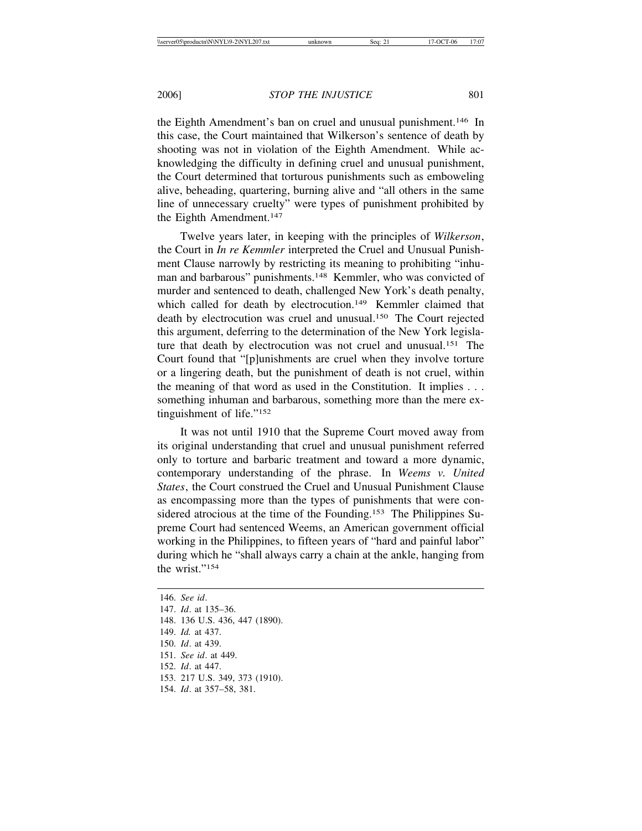the Eighth Amendment's ban on cruel and unusual punishment.146 In this case, the Court maintained that Wilkerson's sentence of death by shooting was not in violation of the Eighth Amendment. While acknowledging the difficulty in defining cruel and unusual punishment, the Court determined that torturous punishments such as emboweling alive, beheading, quartering, burning alive and "all others in the same line of unnecessary cruelty" were types of punishment prohibited by the Eighth Amendment.<sup>147</sup>

Twelve years later, in keeping with the principles of *Wilkerson*, the Court in *In re Kemmler* interpreted the Cruel and Unusual Punishment Clause narrowly by restricting its meaning to prohibiting "inhuman and barbarous" punishments.148 Kemmler, who was convicted of murder and sentenced to death, challenged New York's death penalty, which called for death by electrocution.<sup>149</sup> Kemmler claimed that death by electrocution was cruel and unusual.150 The Court rejected this argument, deferring to the determination of the New York legislature that death by electrocution was not cruel and unusual.151 The Court found that "[p]unishments are cruel when they involve torture or a lingering death, but the punishment of death is not cruel, within the meaning of that word as used in the Constitution. It implies . . . something inhuman and barbarous, something more than the mere extinguishment of life."152

It was not until 1910 that the Supreme Court moved away from its original understanding that cruel and unusual punishment referred only to torture and barbaric treatment and toward a more dynamic, contemporary understanding of the phrase. In *Weems v. United States*, the Court construed the Cruel and Unusual Punishment Clause as encompassing more than the types of punishments that were considered atrocious at the time of the Founding.<sup>153</sup> The Philippines Supreme Court had sentenced Weems, an American government official working in the Philippines, to fifteen years of "hard and painful labor" during which he "shall always carry a chain at the ankle, hanging from the wrist."154

146. *See id*. 147. *Id*. at 135–36. 148. 136 U.S. 436, 447 (1890). 149. *Id.* at 437. 150. *Id*. at 439. 151. *See id*. at 449. 152. *Id*. at 447. 153. 217 U.S. 349, 373 (1910). 154. *Id*. at 357–58, 381.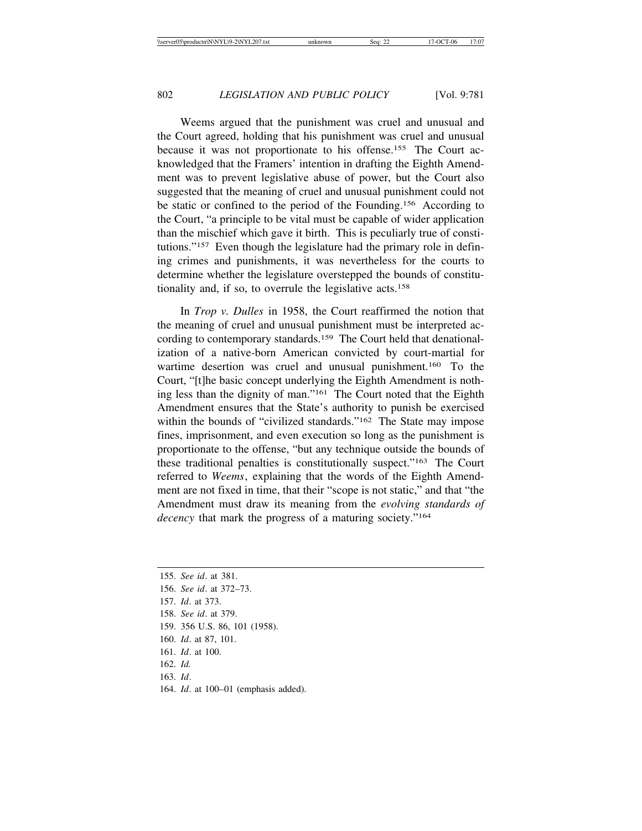Weems argued that the punishment was cruel and unusual and the Court agreed, holding that his punishment was cruel and unusual because it was not proportionate to his offense.155 The Court acknowledged that the Framers' intention in drafting the Eighth Amendment was to prevent legislative abuse of power, but the Court also suggested that the meaning of cruel and unusual punishment could not be static or confined to the period of the Founding.156 According to the Court, "a principle to be vital must be capable of wider application than the mischief which gave it birth. This is peculiarly true of constitutions."157 Even though the legislature had the primary role in defining crimes and punishments, it was nevertheless for the courts to determine whether the legislature overstepped the bounds of constitutionality and, if so, to overrule the legislative acts.158

In *Trop v. Dulles* in 1958, the Court reaffirmed the notion that the meaning of cruel and unusual punishment must be interpreted according to contemporary standards.159 The Court held that denationalization of a native-born American convicted by court-martial for wartime desertion was cruel and unusual punishment.160 To the Court, "[t]he basic concept underlying the Eighth Amendment is nothing less than the dignity of man."161 The Court noted that the Eighth Amendment ensures that the State's authority to punish be exercised within the bounds of "civilized standards."<sup>162</sup> The State may impose fines, imprisonment, and even execution so long as the punishment is proportionate to the offense, "but any technique outside the bounds of these traditional penalties is constitutionally suspect."163 The Court referred to *Weems*, explaining that the words of the Eighth Amendment are not fixed in time, that their "scope is not static," and that "the Amendment must draw its meaning from the *evolving standards of decency* that mark the progress of a maturing society."164

155. *See id*. at 381. 156. *See id*. at 372–73. 157. *Id*. at 373. 158. *See id*. at 379. 159. 356 U.S. 86, 101 (1958). 160. *Id*. at 87, 101. 161. *Id*. at 100. 162. *Id.* 163. *Id*. 164. *Id*. at 100–01 (emphasis added).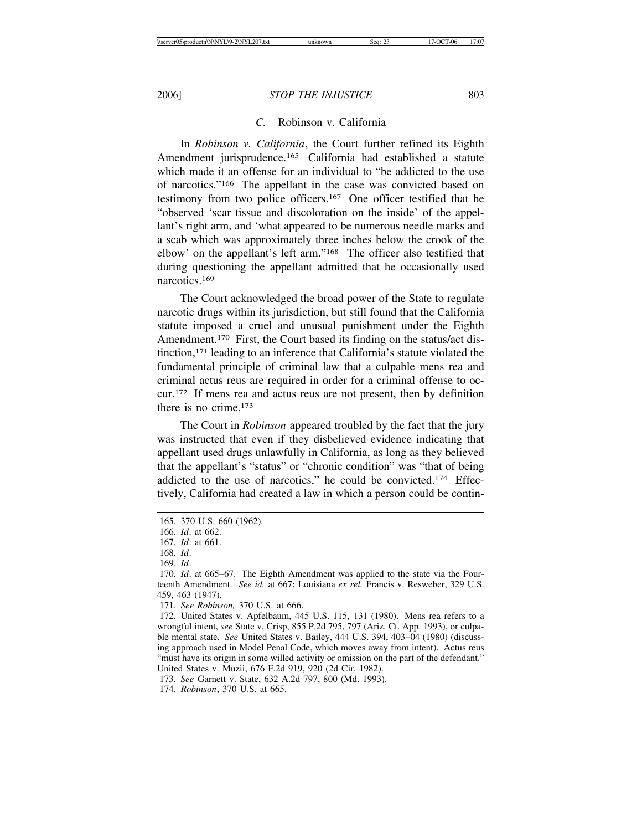### *C.* Robinson v. California

In *Robinson v. California*, the Court further refined its Eighth Amendment jurisprudence.165 California had established a statute which made it an offense for an individual to "be addicted to the use of narcotics."166 The appellant in the case was convicted based on testimony from two police officers.167 One officer testified that he "observed 'scar tissue and discoloration on the inside' of the appellant's right arm, and 'what appeared to be numerous needle marks and a scab which was approximately three inches below the crook of the elbow' on the appellant's left arm."168 The officer also testified that during questioning the appellant admitted that he occasionally used narcotics.<sup>169</sup>

The Court acknowledged the broad power of the State to regulate narcotic drugs within its jurisdiction, but still found that the California statute imposed a cruel and unusual punishment under the Eighth Amendment.<sup>170</sup> First, the Court based its finding on the status/act distinction,171 leading to an inference that California's statute violated the fundamental principle of criminal law that a culpable mens rea and criminal actus reus are required in order for a criminal offense to occur.172 If mens rea and actus reus are not present, then by definition there is no crime.173

The Court in *Robinson* appeared troubled by the fact that the jury was instructed that even if they disbelieved evidence indicating that appellant used drugs unlawfully in California, as long as they believed that the appellant's "status" or "chronic condition" was "that of being addicted to the use of narcotics," he could be convicted.174 Effectively, California had created a law in which a person could be contin-

<sup>165. 370</sup> U.S. 660 (1962).

<sup>166.</sup> *Id*. at 662.

<sup>167.</sup> *Id*. at 661.

<sup>168.</sup> *Id*.

<sup>169.</sup> *Id*.

<sup>170.</sup> *Id*. at 665–67. The Eighth Amendment was applied to the state via the Fourteenth Amendment. *See id.* at 667; Louisiana *ex rel.* Francis v. Resweber, 329 U.S. 459, 463 (1947).

<sup>171.</sup> *See Robinson,* 370 U.S. at 666.

<sup>172.</sup> United States v. Apfelbaum, 445 U.S. 115, 131 (1980). Mens rea refers to a wrongful intent, *see* State v. Crisp, 855 P.2d 795, 797 (Ariz. Ct. App. 1993), or culpable mental state. *See* United States v. Bailey, 444 U.S. 394, 403–04 (1980) (discussing approach used in Model Penal Code, which moves away from intent). Actus reus "must have its origin in some willed activity or omission on the part of the defendant." United States v. Muzii, 676 F.2d 919, 920 (2d Cir. 1982).

<sup>173.</sup> *See* Garnett v. State, 632 A.2d 797, 800 (Md. 1993).

<sup>174.</sup> *Robinson*, 370 U.S. at 665.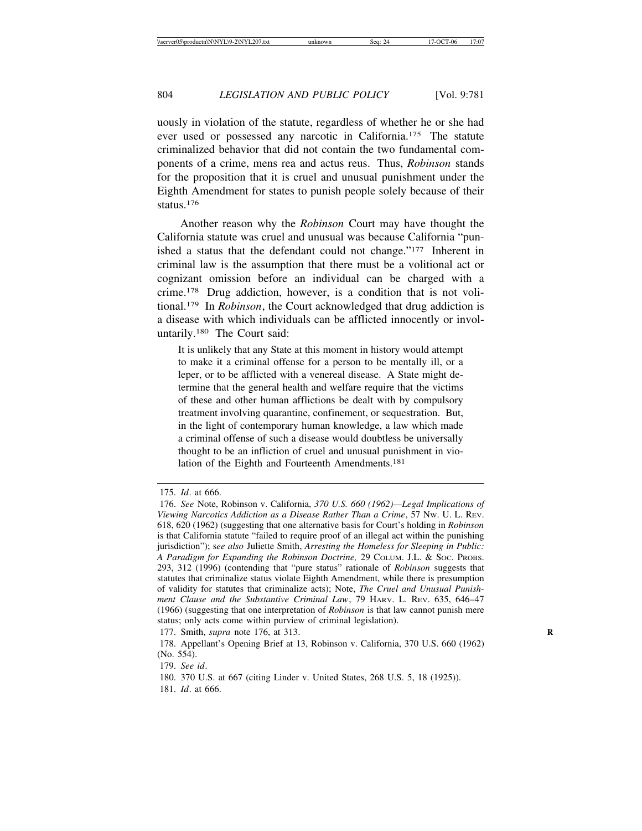uously in violation of the statute, regardless of whether he or she had ever used or possessed any narcotic in California.175 The statute criminalized behavior that did not contain the two fundamental components of a crime, mens rea and actus reus. Thus, *Robinson* stands for the proposition that it is cruel and unusual punishment under the Eighth Amendment for states to punish people solely because of their status.176

Another reason why the *Robinson* Court may have thought the California statute was cruel and unusual was because California "punished a status that the defendant could not change."177 Inherent in criminal law is the assumption that there must be a volitional act or cognizant omission before an individual can be charged with a crime.178 Drug addiction, however, is a condition that is not volitional.179 In *Robinson*, the Court acknowledged that drug addiction is a disease with which individuals can be afflicted innocently or involuntarily.180 The Court said:

It is unlikely that any State at this moment in history would attempt to make it a criminal offense for a person to be mentally ill, or a leper, or to be afflicted with a venereal disease. A State might determine that the general health and welfare require that the victims of these and other human afflictions be dealt with by compulsory treatment involving quarantine, confinement, or sequestration. But, in the light of contemporary human knowledge, a law which made a criminal offense of such a disease would doubtless be universally thought to be an infliction of cruel and unusual punishment in violation of the Eighth and Fourteenth Amendments.181

<sup>175.</sup> *Id*. at 666.

<sup>176.</sup> *See* Note, Robinson v. California, *370 U.S. 660 (1962)—Legal Implications of Viewing Narcotics Addiction as a Disease Rather Than a Crime*, 57 NW. U. L. REV. 618, 620 (1962) (suggesting that one alternative basis for Court's holding in *Robinson* is that California statute "failed to require proof of an illegal act within the punishing jurisdiction"); s*ee also* Juliette Smith, *Arresting the Homeless for Sleeping in Public: A Paradigm for Expanding the Robinson Doctrine,* 29 COLUM. J.L. & SOC. PROBS. 293, 312 (1996) (contending that "pure status" rationale of *Robinson* suggests that statutes that criminalize status violate Eighth Amendment, while there is presumption of validity for statutes that criminalize acts); Note, *The Cruel and Unusual Punishment Clause and the Substantive Criminal Law*, 79 HARV. L. REV. 635, 646–47 (1966) (suggesting that one interpretation of *Robinson* is that law cannot punish mere status; only acts come within purview of criminal legislation).

<sup>177.</sup> Smith, *supra* note 176, at 313. **R**

<sup>178.</sup> Appellant's Opening Brief at 13, Robinson v. California, 370 U.S. 660 (1962) (No. 554).

<sup>179.</sup> *See id*.

<sup>180. 370</sup> U.S. at 667 (citing Linder v. United States, 268 U.S. 5, 18 (1925)).

<sup>181.</sup> *Id*. at 666.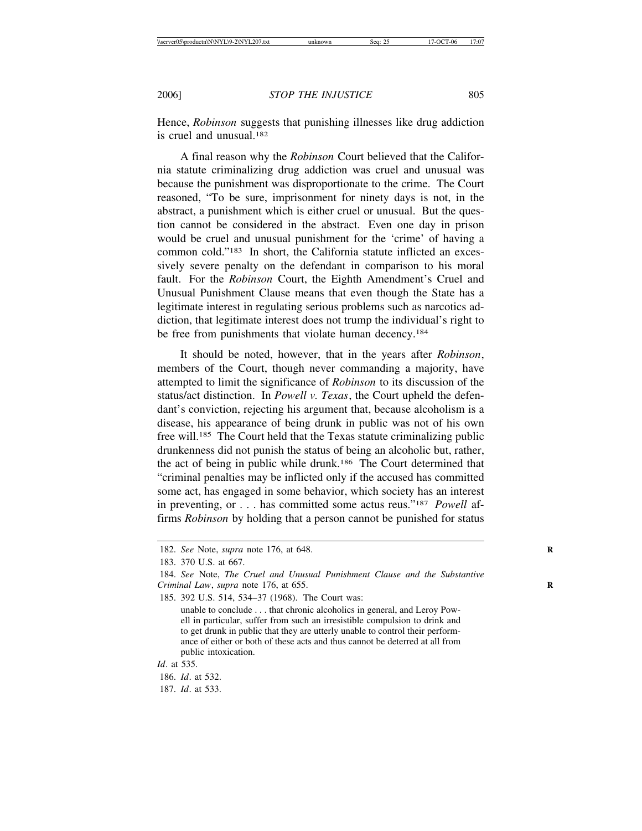Hence, *Robinson* suggests that punishing illnesses like drug addiction is cruel and unusual 182

A final reason why the *Robinson* Court believed that the California statute criminalizing drug addiction was cruel and unusual was because the punishment was disproportionate to the crime. The Court reasoned, "To be sure, imprisonment for ninety days is not, in the abstract, a punishment which is either cruel or unusual. But the question cannot be considered in the abstract. Even one day in prison would be cruel and unusual punishment for the 'crime' of having a common cold."183 In short, the California statute inflicted an excessively severe penalty on the defendant in comparison to his moral fault. For the *Robinson* Court, the Eighth Amendment's Cruel and Unusual Punishment Clause means that even though the State has a legitimate interest in regulating serious problems such as narcotics addiction, that legitimate interest does not trump the individual's right to be free from punishments that violate human decency.<sup>184</sup>

It should be noted, however, that in the years after *Robinson*, members of the Court, though never commanding a majority, have attempted to limit the significance of *Robinson* to its discussion of the status/act distinction. In *Powell v. Texas*, the Court upheld the defendant's conviction, rejecting his argument that, because alcoholism is a disease, his appearance of being drunk in public was not of his own free will.185 The Court held that the Texas statute criminalizing public drunkenness did not punish the status of being an alcoholic but, rather, the act of being in public while drunk.186 The Court determined that "criminal penalties may be inflicted only if the accused has committed some act, has engaged in some behavior, which society has an interest in preventing, or . . . has committed some actus reus."187 *Powell* affirms *Robinson* by holding that a person cannot be punished for status

185. 392 U.S. 514, 534–37 (1968). The Court was:

unable to conclude . . . that chronic alcoholics in general, and Leroy Powell in particular, suffer from such an irresistible compulsion to drink and to get drunk in public that they are utterly unable to control their performance of either or both of these acts and thus cannot be deterred at all from public intoxication.

187. *Id*. at 533.

<sup>182.</sup> *See* Note, *supra* note 176, at 648. **R**

<sup>183. 370</sup> U.S. at 667.

<sup>184.</sup> *See* Note, *The Cruel and Unusual Punishment Clause and the Substantive Criminal Law*, *supra* note 176, at 655. **R**

*Id*. at 535.

<sup>186.</sup> *Id*. at 532.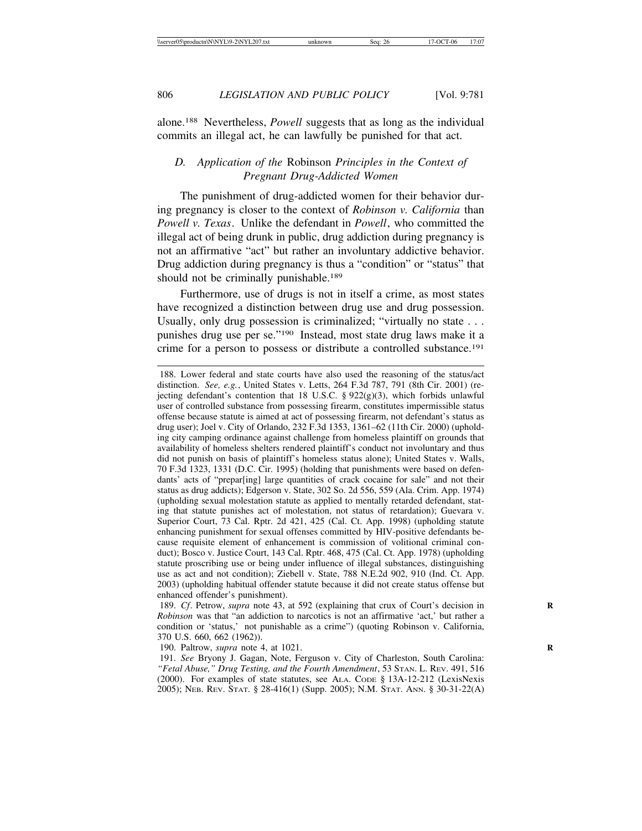alone.188 Nevertheless, *Powell* suggests that as long as the individual commits an illegal act, he can lawfully be punished for that act.

# *D. Application of the* Robinson *Principles in the Context of Pregnant Drug-Addicted Women*

The punishment of drug-addicted women for their behavior during pregnancy is closer to the context of *Robinson v. California* than *Powell v. Texas*. Unlike the defendant in *Powell*, who committed the illegal act of being drunk in public, drug addiction during pregnancy is not an affirmative "act" but rather an involuntary addictive behavior. Drug addiction during pregnancy is thus a "condition" or "status" that should not be criminally punishable.<sup>189</sup>

Furthermore, use of drugs is not in itself a crime, as most states have recognized a distinction between drug use and drug possession. Usually, only drug possession is criminalized; "virtually no state . . . punishes drug use per se."190 Instead, most state drug laws make it a crime for a person to possess or distribute a controlled substance.191

190. Paltrow, *supra* note 4, at 1021. **R**

<sup>188.</sup> Lower federal and state courts have also used the reasoning of the status/act distinction. *See, e.g.*, United States v. Letts, 264 F.3d 787, 791 (8th Cir. 2001) (rejecting defendant's contention that 18 U.S.C. § 922(g)(3), which forbids unlawful user of controlled substance from possessing firearm, constitutes impermissible status offense because statute is aimed at act of possessing firearm, not defendant's status as drug user); Joel v. City of Orlando, 232 F.3d 1353, 1361–62 (11th Cir. 2000) (upholding city camping ordinance against challenge from homeless plaintiff on grounds that availability of homeless shelters rendered plaintiff's conduct not involuntary and thus did not punish on basis of plaintiff's homeless status alone); United States v. Walls, 70 F.3d 1323, 1331 (D.C. Cir. 1995) (holding that punishments were based on defendants' acts of "prepar[ing] large quantities of crack cocaine for sale" and not their status as drug addicts); Edgerson v. State, 302 So. 2d 556, 559 (Ala. Crim. App. 1974) (upholding sexual molestation statute as applied to mentally retarded defendant, stating that statute punishes act of molestation, not status of retardation); Guevara v. Superior Court, 73 Cal. Rptr. 2d 421, 425 (Cal. Ct. App. 1998) (upholding statute enhancing punishment for sexual offenses committed by HIV-positive defendants because requisite element of enhancement is commission of volitional criminal conduct); Bosco v. Justice Court, 143 Cal. Rptr. 468, 475 (Cal. Ct. App. 1978) (upholding statute proscribing use or being under influence of illegal substances, distinguishing use as act and not condition); Ziebell v. State, 788 N.E.2d 902, 910 (Ind. Ct. App. 2003) (upholding habitual offender statute because it did not create status offense but enhanced offender's punishment).

<sup>189.</sup> *Cf*. Petrow, *supra* note 43, at 592 (explaining that crux of Court's decision in **R** *Robinson* was that "an addiction to narcotics is not an affirmative 'act,' but rather a condition or 'status,' not punishable as a crime") (quoting Robinson v. California, 370 U.S. 660, 662 (1962)).

<sup>191.</sup> *See* Bryony J. Gagan, Note, Ferguson v. City of Charleston, South Carolina: *"Fetal Abuse," Drug Testing, and the Fourth Amendment*, 53 STAN. L. REV. 491, 516 (2000). For examples of state statutes, see ALA. CODE § 13A-12-212 (LexisNexis 2005); NEB. REV. STAT. § 28-416(1) (Supp. 2005); N.M. STAT. ANN. § 30-31-22(A)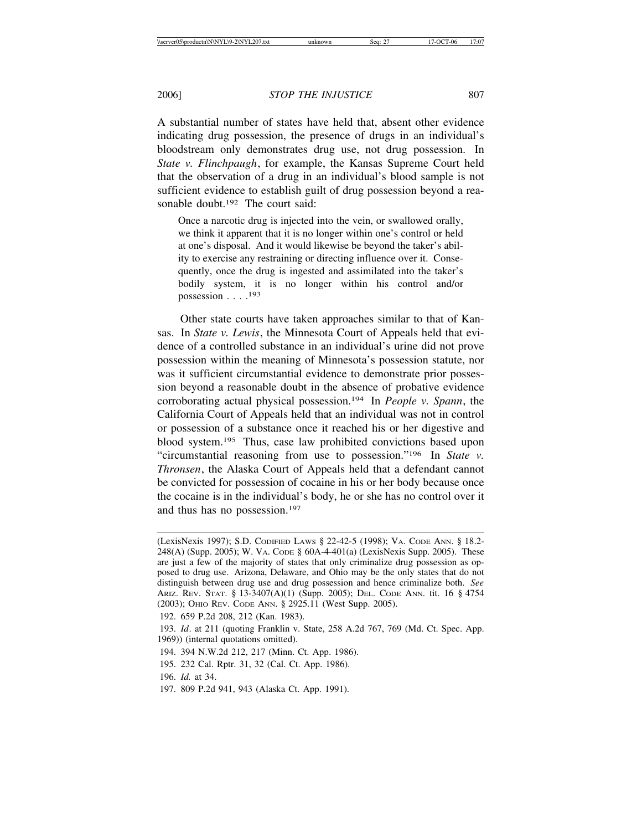A substantial number of states have held that, absent other evidence indicating drug possession, the presence of drugs in an individual's bloodstream only demonstrates drug use, not drug possession. In *State v. Flinchpaugh*, for example, the Kansas Supreme Court held that the observation of a drug in an individual's blood sample is not sufficient evidence to establish guilt of drug possession beyond a reasonable doubt.<sup>192</sup> The court said:

Once a narcotic drug is injected into the vein, or swallowed orally, we think it apparent that it is no longer within one's control or held at one's disposal. And it would likewise be beyond the taker's ability to exercise any restraining or directing influence over it. Consequently, once the drug is ingested and assimilated into the taker's bodily system, it is no longer within his control and/or possession  $\ldots$ .<sup>193</sup>

Other state courts have taken approaches similar to that of Kansas. In *State v. Lewis*, the Minnesota Court of Appeals held that evidence of a controlled substance in an individual's urine did not prove possession within the meaning of Minnesota's possession statute, nor was it sufficient circumstantial evidence to demonstrate prior possession beyond a reasonable doubt in the absence of probative evidence corroborating actual physical possession.194 In *People v. Spann*, the California Court of Appeals held that an individual was not in control or possession of a substance once it reached his or her digestive and blood system.195 Thus, case law prohibited convictions based upon "circumstantial reasoning from use to possession."196 In *State v. Thronsen*, the Alaska Court of Appeals held that a defendant cannot be convicted for possession of cocaine in his or her body because once the cocaine is in the individual's body, he or she has no control over it and thus has no possession.197

- 194. 394 N.W.2d 212, 217 (Minn. Ct. App. 1986).
- 195. 232 Cal. Rptr. 31, 32 (Cal. Ct. App. 1986).
- 196. *Id.* at 34.
- 197. 809 P.2d 941, 943 (Alaska Ct. App. 1991).

<sup>(</sup>LexisNexis 1997); S.D. CODIFIED LAWS § 22-42-5 (1998); VA. CODE ANN. § 18.2- 248(A) (Supp. 2005); W. VA. CODE § 60A-4-401(a) (LexisNexis Supp. 2005). These are just a few of the majority of states that only criminalize drug possession as opposed to drug use. Arizona, Delaware, and Ohio may be the only states that do not distinguish between drug use and drug possession and hence criminalize both. *See* ARIZ. REV. STAT. § 13-3407(A)(1) (Supp. 2005); DEL. CODE ANN. tit. 16 § 4754 (2003); OHIO REV. CODE ANN. § 2925.11 (West Supp. 2005).

<sup>192. 659</sup> P.2d 208, 212 (Kan. 1983).

<sup>193.</sup> *Id*. at 211 (quoting Franklin v. State, 258 A.2d 767, 769 (Md. Ct. Spec. App. 1969)) (internal quotations omitted).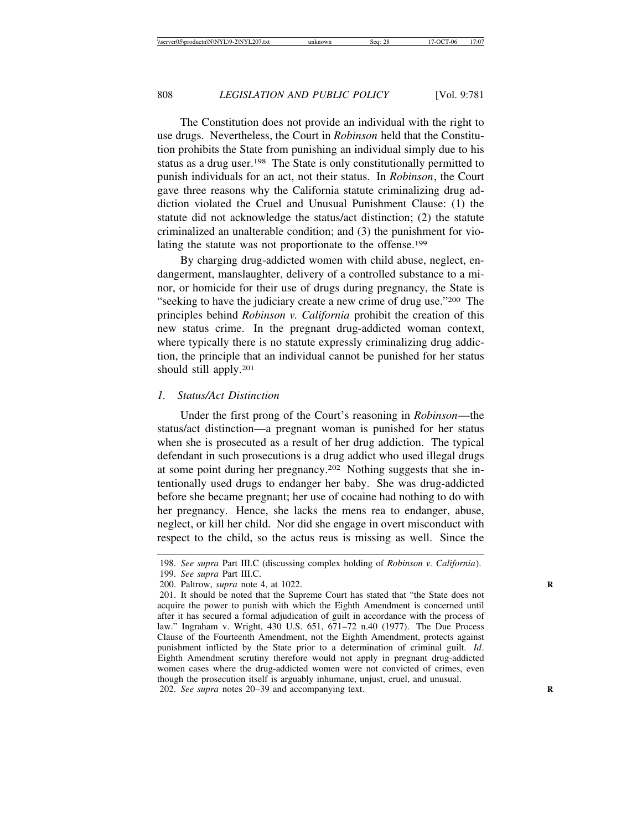The Constitution does not provide an individual with the right to use drugs. Nevertheless, the Court in *Robinson* held that the Constitution prohibits the State from punishing an individual simply due to his status as a drug user.198 The State is only constitutionally permitted to punish individuals for an act, not their status. In *Robinson*, the Court gave three reasons why the California statute criminalizing drug addiction violated the Cruel and Unusual Punishment Clause: (1) the statute did not acknowledge the status/act distinction; (2) the statute criminalized an unalterable condition; and (3) the punishment for violating the statute was not proportionate to the offense.199

By charging drug-addicted women with child abuse, neglect, endangerment, manslaughter, delivery of a controlled substance to a minor, or homicide for their use of drugs during pregnancy, the State is "seeking to have the judiciary create a new crime of drug use."200 The principles behind *Robinson v. California* prohibit the creation of this new status crime. In the pregnant drug-addicted woman context, where typically there is no statute expressly criminalizing drug addiction, the principle that an individual cannot be punished for her status should still apply.201

#### *1. Status/Act Distinction*

Under the first prong of the Court's reasoning in *Robinson*—the status/act distinction—a pregnant woman is punished for her status when she is prosecuted as a result of her drug addiction. The typical defendant in such prosecutions is a drug addict who used illegal drugs at some point during her pregnancy.202 Nothing suggests that she intentionally used drugs to endanger her baby. She was drug-addicted before she became pregnant; her use of cocaine had nothing to do with her pregnancy. Hence, she lacks the mens rea to endanger, abuse, neglect, or kill her child. Nor did she engage in overt misconduct with respect to the child, so the actus reus is missing as well. Since the

<sup>198.</sup> *See supra* Part III.C (discussing complex holding of *Robinson v. California*). 199. *See supra* Part III.C.

<sup>200.</sup> Paltrow, *supra* note 4, at 1022. **R**

<sup>201.</sup> It should be noted that the Supreme Court has stated that "the State does not acquire the power to punish with which the Eighth Amendment is concerned until after it has secured a formal adjudication of guilt in accordance with the process of law." Ingraham v. Wright, 430 U.S. 651, 671–72 n.40 (1977). The Due Process Clause of the Fourteenth Amendment, not the Eighth Amendment, protects against punishment inflicted by the State prior to a determination of criminal guilt. *Id*. Eighth Amendment scrutiny therefore would not apply in pregnant drug-addicted women cases where the drug-addicted women were not convicted of crimes, even though the prosecution itself is arguably inhumane, unjust, cruel, and unusual. 202. *See supra* notes 20–39 and accompanying text.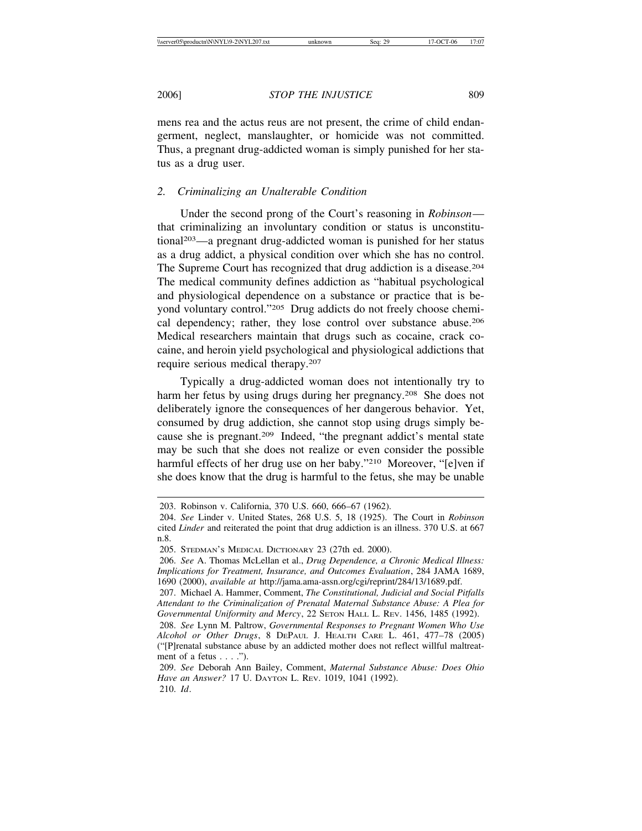mens rea and the actus reus are not present, the crime of child endangerment, neglect, manslaughter, or homicide was not committed. Thus, a pregnant drug-addicted woman is simply punished for her status as a drug user.

# *2. Criminalizing an Unalterable Condition*

Under the second prong of the Court's reasoning in *Robinson* that criminalizing an involuntary condition or status is unconstitutional203—a pregnant drug-addicted woman is punished for her status as a drug addict, a physical condition over which she has no control. The Supreme Court has recognized that drug addiction is a disease.204 The medical community defines addiction as "habitual psychological and physiological dependence on a substance or practice that is beyond voluntary control."205 Drug addicts do not freely choose chemical dependency; rather, they lose control over substance abuse.206 Medical researchers maintain that drugs such as cocaine, crack cocaine, and heroin yield psychological and physiological addictions that require serious medical therapy.207

Typically a drug-addicted woman does not intentionally try to harm her fetus by using drugs during her pregnancy.<sup>208</sup> She does not deliberately ignore the consequences of her dangerous behavior. Yet, consumed by drug addiction, she cannot stop using drugs simply because she is pregnant.209 Indeed, "the pregnant addict's mental state may be such that she does not realize or even consider the possible harmful effects of her drug use on her baby."210 Moreover, "[e]ven if she does know that the drug is harmful to the fetus, she may be unable

<sup>203.</sup> Robinson v. California, 370 U.S. 660, 666–67 (1962).

<sup>204.</sup> *See* Linder v. United States, 268 U.S. 5, 18 (1925). The Court in *Robinson* cited *Linder* and reiterated the point that drug addiction is an illness. 370 U.S. at 667 n.8.

<sup>205.</sup> STEDMAN'S MEDICAL DICTIONARY 23 (27th ed. 2000).

<sup>206.</sup> *See* A. Thomas McLellan et al., *Drug Dependence, a Chronic Medical Illness: Implications for Treatment, Insurance, and Outcomes Evaluation*, 284 JAMA 1689, 1690 (2000), *available at* http://jama.ama-assn.org/cgi/reprint/284/13/1689.pdf.

<sup>207.</sup> Michael A. Hammer, Comment, *The Constitutional, Judicial and Social Pitfalls Attendant to the Criminalization of Prenatal Maternal Substance Abuse: A Plea for Governmental Uniformity and Mercy*, 22 SETON HALL L. REV. 1456, 1485 (1992).

<sup>208.</sup> *See* Lynn M. Paltrow, *Governmental Responses to Pregnant Women Who Use Alcohol or Other Drugs*, 8 DEPAUL J. HEALTH CARE L. 461, 477–78 (2005) ("[P]renatal substance abuse by an addicted mother does not reflect willful maltreatment of a fetus  $\dots$  .").

<sup>209.</sup> *See* Deborah Ann Bailey, Comment, *Maternal Substance Abuse: Does Ohio Have an Answer?* 17 U. DAYTON L. REV. 1019, 1041 (1992). 210. *Id*.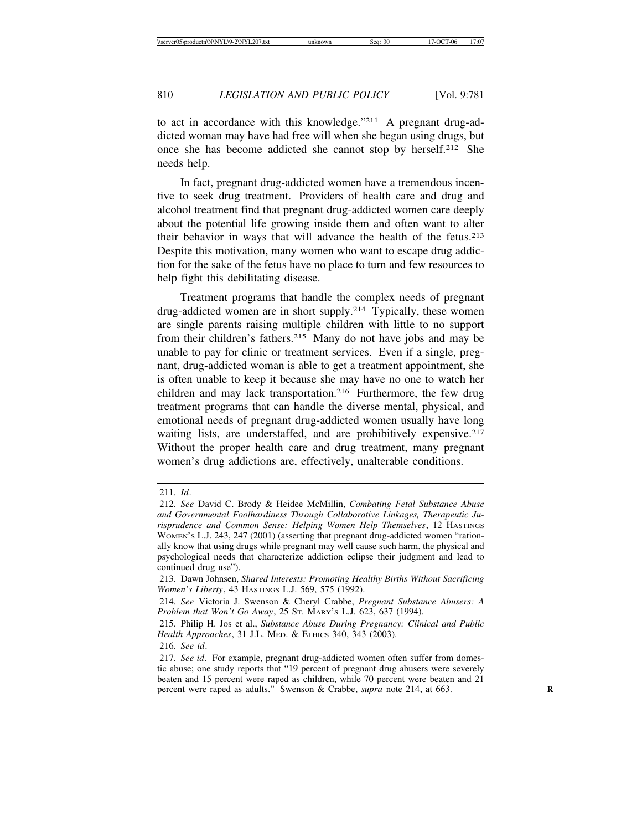to act in accordance with this knowledge."211 A pregnant drug-addicted woman may have had free will when she began using drugs, but once she has become addicted she cannot stop by herself.212 She needs help.

In fact, pregnant drug-addicted women have a tremendous incentive to seek drug treatment. Providers of health care and drug and alcohol treatment find that pregnant drug-addicted women care deeply about the potential life growing inside them and often want to alter their behavior in ways that will advance the health of the fetus.213 Despite this motivation, many women who want to escape drug addiction for the sake of the fetus have no place to turn and few resources to help fight this debilitating disease.

Treatment programs that handle the complex needs of pregnant drug-addicted women are in short supply.214 Typically, these women are single parents raising multiple children with little to no support from their children's fathers.215 Many do not have jobs and may be unable to pay for clinic or treatment services. Even if a single, pregnant, drug-addicted woman is able to get a treatment appointment, she is often unable to keep it because she may have no one to watch her children and may lack transportation.<sup>216</sup> Furthermore, the few drug treatment programs that can handle the diverse mental, physical, and emotional needs of pregnant drug-addicted women usually have long waiting lists, are understaffed, and are prohibitively expensive.<sup>217</sup> Without the proper health care and drug treatment, many pregnant women's drug addictions are, effectively, unalterable conditions.

<sup>211.</sup> *Id*.

<sup>212.</sup> *See* David C. Brody & Heidee McMillin, *Combating Fetal Substance Abuse and Governmental Foolhardiness Through Collaborative Linkages, Therapeutic Jurisprudence and Common Sense: Helping Women Help Themselves*, 12 HASTINGS WOMEN'S L.J. 243, 247 (2001) (asserting that pregnant drug-addicted women "rationally know that using drugs while pregnant may well cause such harm, the physical and psychological needs that characterize addiction eclipse their judgment and lead to continued drug use").

<sup>213.</sup> Dawn Johnsen, *Shared Interests: Promoting Healthy Births Without Sacrificing Women's Liberty*, 43 HASTINGS L.J. 569, 575 (1992).

<sup>214.</sup> *See* Victoria J. Swenson & Cheryl Crabbe, *Pregnant Substance Abusers: A Problem that Won't Go Away*, 25 ST. MARY'S L.J. 623, 637 (1994).

<sup>215.</sup> Philip H. Jos et al., *Substance Abuse During Pregnancy: Clinical and Public Health Approaches*, 31 J.L. MED. & ETHICS 340, 343 (2003).

<sup>216.</sup> *See id*.

<sup>217.</sup> *See id*. For example, pregnant drug-addicted women often suffer from domestic abuse; one study reports that "19 percent of pregnant drug abusers were severely beaten and 15 percent were raped as children, while 70 percent were beaten and 21 percent were raped as adults." Swenson & Crabbe, *supra* note 214, at 663. **R**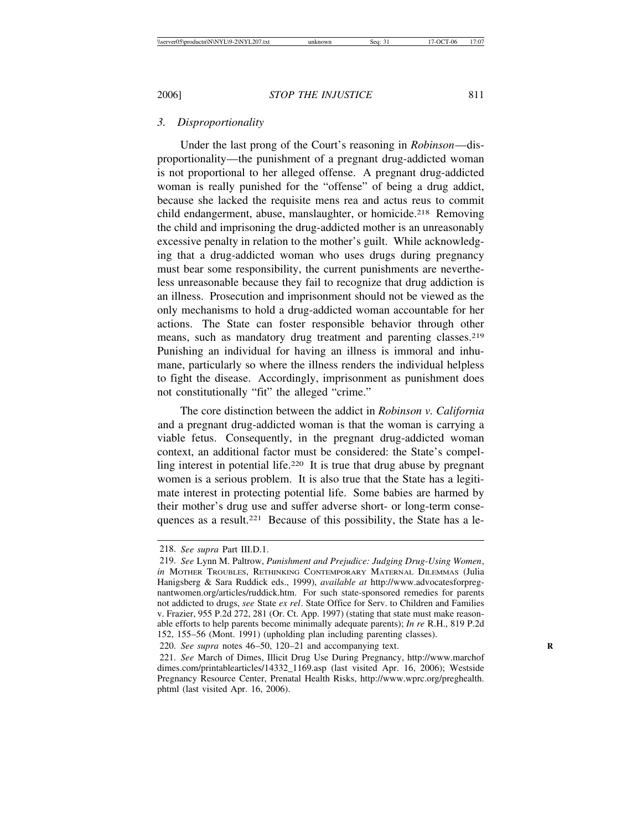Under the last prong of the Court's reasoning in *Robinson*—disproportionality—the punishment of a pregnant drug-addicted woman is not proportional to her alleged offense. A pregnant drug-addicted woman is really punished for the "offense" of being a drug addict, because she lacked the requisite mens rea and actus reus to commit child endangerment, abuse, manslaughter, or homicide.<sup>218</sup> Removing the child and imprisoning the drug-addicted mother is an unreasonably excessive penalty in relation to the mother's guilt. While acknowledging that a drug-addicted woman who uses drugs during pregnancy must bear some responsibility, the current punishments are nevertheless unreasonable because they fail to recognize that drug addiction is an illness. Prosecution and imprisonment should not be viewed as the only mechanisms to hold a drug-addicted woman accountable for her actions. The State can foster responsible behavior through other means, such as mandatory drug treatment and parenting classes.<sup>219</sup> Punishing an individual for having an illness is immoral and inhumane, particularly so where the illness renders the individual helpless to fight the disease. Accordingly, imprisonment as punishment does not constitutionally "fit" the alleged "crime."

The core distinction between the addict in *Robinson v. California* and a pregnant drug-addicted woman is that the woman is carrying a viable fetus. Consequently, in the pregnant drug-addicted woman context, an additional factor must be considered: the State's compelling interest in potential life.220 It is true that drug abuse by pregnant women is a serious problem. It is also true that the State has a legitimate interest in protecting potential life. Some babies are harmed by their mother's drug use and suffer adverse short- or long-term consequences as a result.221 Because of this possibility, the State has a le-

<sup>218.</sup> *See supra* Part III.D.1.

<sup>219.</sup> *See* Lynn M. Paltrow, *Punishment and Prejudice: Judging Drug-Using Women*, *in* MOTHER TROUBLES, RETHINKING CONTEMPORARY MATERNAL DILEMMAS (Julia Hanigsberg & Sara Ruddick eds., 1999), *available at* http://www.advocatesforpregnantwomen.org/articles/ruddick.htm. For such state-sponsored remedies for parents not addicted to drugs, *see* State *ex rel*. State Office for Serv. to Children and Families v. Frazier, 955 P.2d 272, 281 (Or. Ct. App. 1997) (stating that state must make reasonable efforts to help parents become minimally adequate parents); *In re* R.H., 819 P.2d 152, 155–56 (Mont. 1991) (upholding plan including parenting classes).

<sup>220.</sup> *See supra* notes 46–50, 120–21 and accompanying text.

<sup>221.</sup> *See* March of Dimes, Illicit Drug Use During Pregnancy, http://www.marchof dimes.com/printablearticles/14332\_1169.asp (last visited Apr. 16, 2006); Westside Pregnancy Resource Center, Prenatal Health Risks, http://www.wprc.org/preghealth. phtml (last visited Apr. 16, 2006).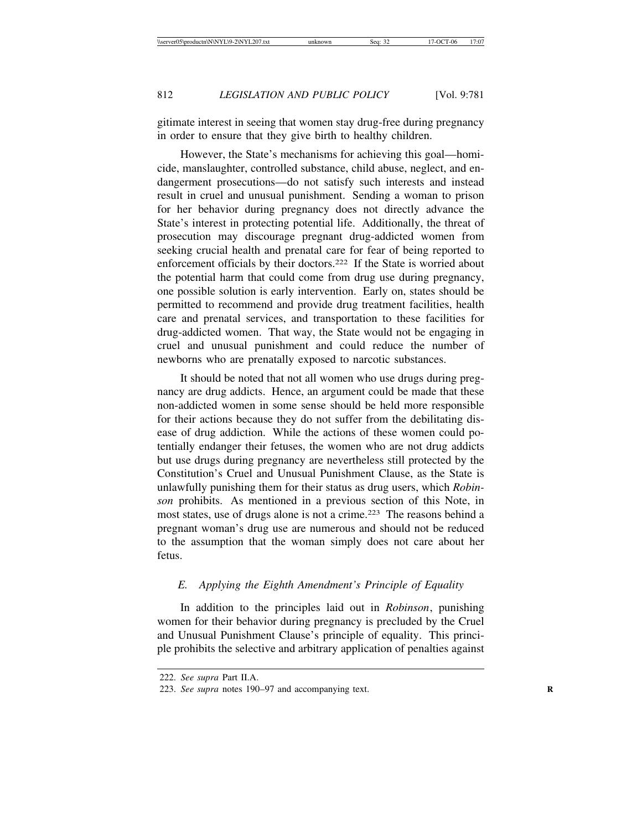gitimate interest in seeing that women stay drug-free during pregnancy in order to ensure that they give birth to healthy children.

However, the State's mechanisms for achieving this goal—homicide, manslaughter, controlled substance, child abuse, neglect, and endangerment prosecutions—do not satisfy such interests and instead result in cruel and unusual punishment. Sending a woman to prison for her behavior during pregnancy does not directly advance the State's interest in protecting potential life. Additionally, the threat of prosecution may discourage pregnant drug-addicted women from seeking crucial health and prenatal care for fear of being reported to enforcement officials by their doctors.222 If the State is worried about the potential harm that could come from drug use during pregnancy, one possible solution is early intervention. Early on, states should be permitted to recommend and provide drug treatment facilities, health care and prenatal services, and transportation to these facilities for drug-addicted women. That way, the State would not be engaging in cruel and unusual punishment and could reduce the number of newborns who are prenatally exposed to narcotic substances.

It should be noted that not all women who use drugs during pregnancy are drug addicts. Hence, an argument could be made that these non-addicted women in some sense should be held more responsible for their actions because they do not suffer from the debilitating disease of drug addiction. While the actions of these women could potentially endanger their fetuses, the women who are not drug addicts but use drugs during pregnancy are nevertheless still protected by the Constitution's Cruel and Unusual Punishment Clause, as the State is unlawfully punishing them for their status as drug users, which *Robinson* prohibits. As mentioned in a previous section of this Note, in most states, use of drugs alone is not a crime.223 The reasons behind a pregnant woman's drug use are numerous and should not be reduced to the assumption that the woman simply does not care about her fetus.

# *E. Applying the Eighth Amendment's Principle of Equality*

In addition to the principles laid out in *Robinson*, punishing women for their behavior during pregnancy is precluded by the Cruel and Unusual Punishment Clause's principle of equality. This principle prohibits the selective and arbitrary application of penalties against

<sup>222.</sup> *See supra* Part II.A.

<sup>223.</sup> *See supra* notes 190–97 and accompanying text. **R**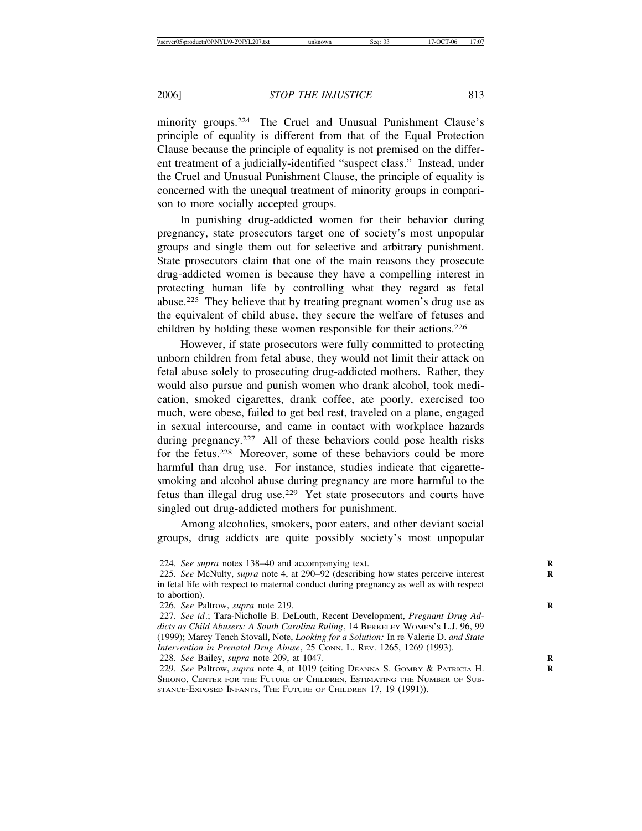minority groups.<sup>224</sup> The Cruel and Unusual Punishment Clause's principle of equality is different from that of the Equal Protection Clause because the principle of equality is not premised on the different treatment of a judicially-identified "suspect class." Instead, under the Cruel and Unusual Punishment Clause, the principle of equality is concerned with the unequal treatment of minority groups in comparison to more socially accepted groups.

In punishing drug-addicted women for their behavior during pregnancy, state prosecutors target one of society's most unpopular groups and single them out for selective and arbitrary punishment. State prosecutors claim that one of the main reasons they prosecute drug-addicted women is because they have a compelling interest in protecting human life by controlling what they regard as fetal abuse.225 They believe that by treating pregnant women's drug use as the equivalent of child abuse, they secure the welfare of fetuses and children by holding these women responsible for their actions.226

However, if state prosecutors were fully committed to protecting unborn children from fetal abuse, they would not limit their attack on fetal abuse solely to prosecuting drug-addicted mothers. Rather, they would also pursue and punish women who drank alcohol, took medication, smoked cigarettes, drank coffee, ate poorly, exercised too much, were obese, failed to get bed rest, traveled on a plane, engaged in sexual intercourse, and came in contact with workplace hazards during pregnancy.<sup>227</sup> All of these behaviors could pose health risks for the fetus.<sup>228</sup> Moreover, some of these behaviors could be more harmful than drug use. For instance, studies indicate that cigarettesmoking and alcohol abuse during pregnancy are more harmful to the fetus than illegal drug use.229 Yet state prosecutors and courts have singled out drug-addicted mothers for punishment.

Among alcoholics, smokers, poor eaters, and other deviant social groups, drug addicts are quite possibly society's most unpopular

228. *See* Bailey, *supra* note 209, at 1047. **R**

<sup>224.</sup> *See supra* notes 138–40 and accompanying text. **R**

<sup>225.</sup> *See* McNulty, *supra* note 4, at 290–92 (describing how states perceive interest in fetal life with respect to maternal conduct during pregnancy as well as with respect to abortion).

<sup>226.</sup> *See* Paltrow, *supra* note 219. **R**

<sup>227.</sup> *See id*.; Tara-Nicholle B. DeLouth, Recent Development, *Pregnant Drug Addicts as Child Abusers: A South Carolina Ruling*, 14 BERKELEY WOMEN'S L.J. 96, 99 (1999); Marcy Tench Stovall, Note, *Looking for a Solution:* In re Valerie D. *and State Intervention in Prenatal Drug Abuse*, 25 Conn. L. REV. 1265, 1269 (1993).

<sup>229.</sup> *See* Paltrow, *supra* note 4, at 1019 (citing DEANNA S. GOMBY & PATRICIA H. **R** SHIONO, CENTER FOR THE FUTURE OF CHILDREN, ESTIMATING THE NUMBER OF SUB-STANCE-EXPOSED INFANTS, THE FUTURE OF CHILDREN 17, 19 (1991)).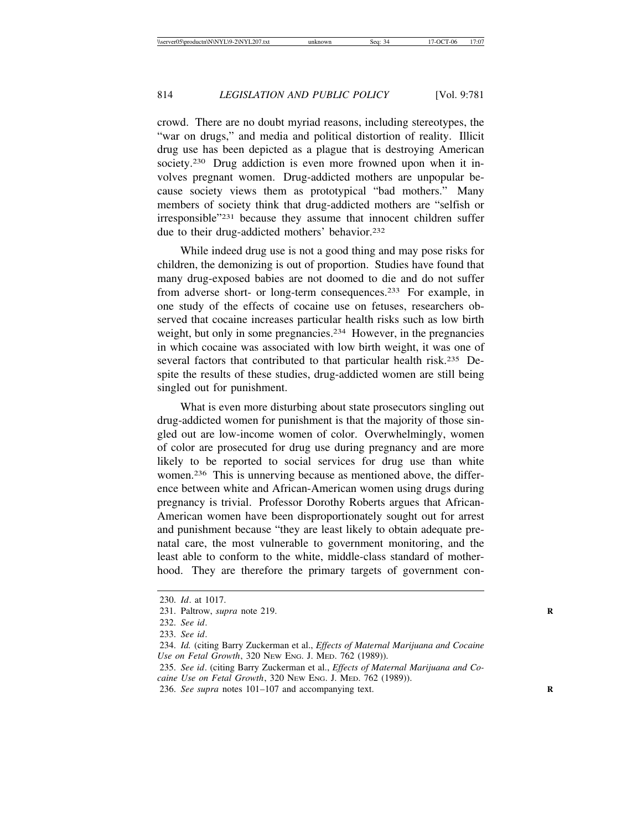crowd. There are no doubt myriad reasons, including stereotypes, the "war on drugs," and media and political distortion of reality. Illicit drug use has been depicted as a plague that is destroying American society.<sup>230</sup> Drug addiction is even more frowned upon when it involves pregnant women. Drug-addicted mothers are unpopular because society views them as prototypical "bad mothers." Many members of society think that drug-addicted mothers are "selfish or irresponsible"231 because they assume that innocent children suffer due to their drug-addicted mothers' behavior.<sup>232</sup>

While indeed drug use is not a good thing and may pose risks for children, the demonizing is out of proportion. Studies have found that many drug-exposed babies are not doomed to die and do not suffer from adverse short- or long-term consequences.233 For example, in one study of the effects of cocaine use on fetuses, researchers observed that cocaine increases particular health risks such as low birth weight, but only in some pregnancies.<sup>234</sup> However, in the pregnancies in which cocaine was associated with low birth weight, it was one of several factors that contributed to that particular health risk.<sup>235</sup> Despite the results of these studies, drug-addicted women are still being singled out for punishment.

What is even more disturbing about state prosecutors singling out drug-addicted women for punishment is that the majority of those singled out are low-income women of color. Overwhelmingly, women of color are prosecuted for drug use during pregnancy and are more likely to be reported to social services for drug use than white women.236 This is unnerving because as mentioned above, the difference between white and African-American women using drugs during pregnancy is trivial. Professor Dorothy Roberts argues that African-American women have been disproportionately sought out for arrest and punishment because "they are least likely to obtain adequate prenatal care, the most vulnerable to government monitoring, and the least able to conform to the white, middle-class standard of motherhood. They are therefore the primary targets of government con-

<sup>230.</sup> *Id*. at 1017.

<sup>231.</sup> Paltrow, *supra* note 219. **R**

<sup>232.</sup> *See id*.

<sup>233.</sup> *See id*.

<sup>234.</sup> *Id.* (citing Barry Zuckerman et al., *Effects of Maternal Marijuana and Cocaine Use on Fetal Growth*, 320 NEW ENG. J. MED. 762 (1989)).

<sup>235.</sup> *See id*. (citing Barry Zuckerman et al., *Effects of Maternal Marijuana and Cocaine Use on Fetal Growth*, 320 NEW ENG. J. MED. 762 (1989)).

<sup>236.</sup> *See supra* notes 101–107 and accompanying text.